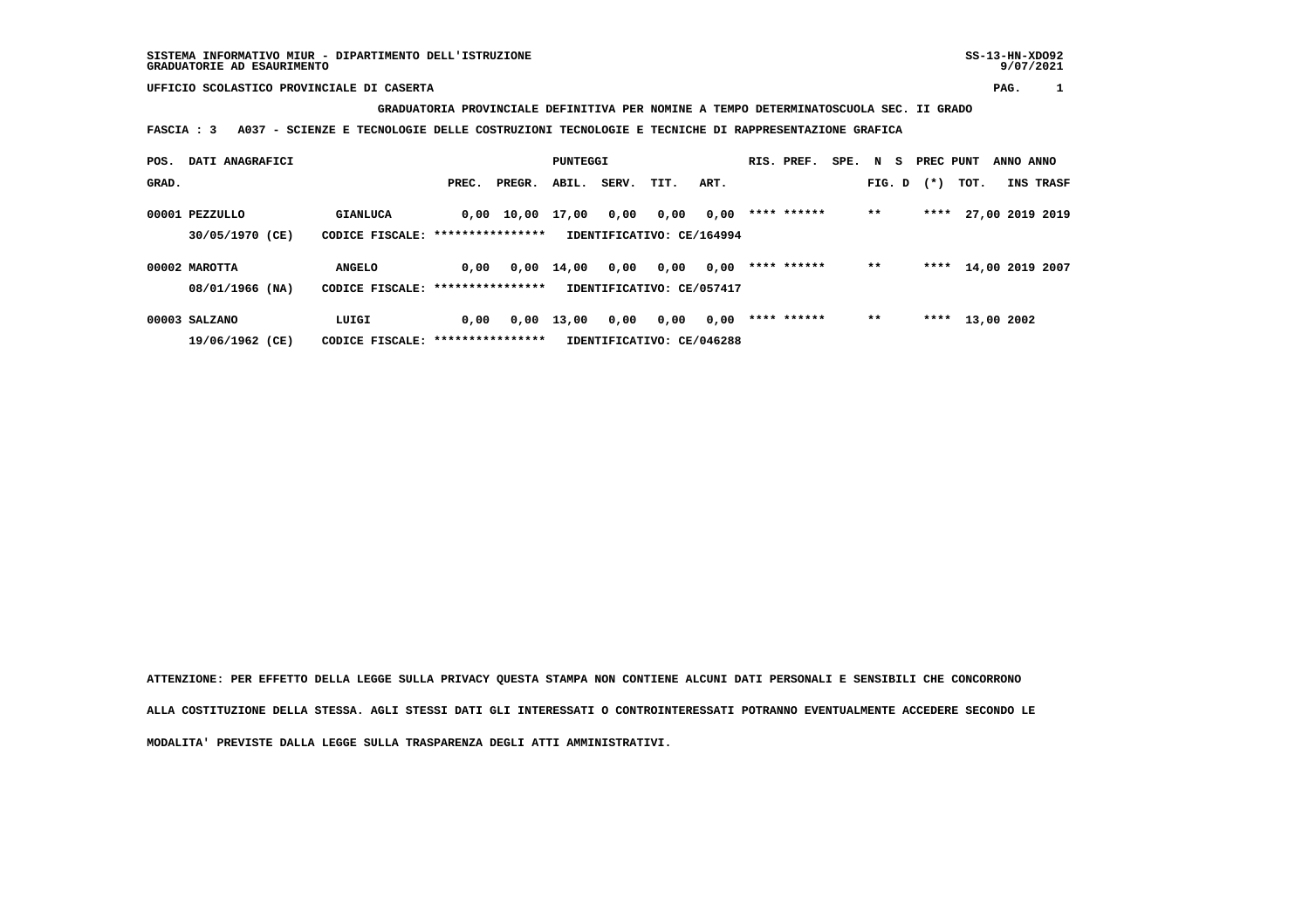**GRADUATORIA PROVINCIALE DEFINITIVA PER NOMINE A TEMPO DETERMINATOSCUOLA SEC. II GRADO**

 **FASCIA : 3 A037 - SCIENZE E TECNOLOGIE DELLE COSTRUZIONI TECNOLOGIE E TECNICHE DI RAPPRESENTAZIONE GRAFICA**

| POS.  | DATI ANAGRAFICI |                 |                  |        | PUNTEGGI |       |                           |      | RIS. PREF.  | SPE. N S |        | PREC PUNT |                 | ANNO ANNO |           |
|-------|-----------------|-----------------|------------------|--------|----------|-------|---------------------------|------|-------------|----------|--------|-----------|-----------------|-----------|-----------|
| GRAD. |                 |                 | PREC.            | PREGR. | ABIL.    | SERV. | TIT.                      | ART. |             |          | FIG. D | $(* )$    | TOT.            |           | INS TRASF |
|       | 00001 PEZZULLO  | <b>GIANLUCA</b> | 0,00             | 10,00  | 17,00    | 0,00  | 0,00                      | 0,00 | **** ****** |          | $**$   | ****      | 27,00 2019 2019 |           |           |
|       | 30/05/1970 (CE) | CODICE FISCALE: | **************** |        |          |       | IDENTIFICATIVO: CE/164994 |      |             |          |        |           |                 |           |           |
|       | 00002 MAROTTA   | <b>ANGELO</b>   | 0,00             | 0,00   | 14,00    | 0,00  | 0,00                      | 0,00 | **** ****** |          | $***$  | ****      | 14,00 2019 2007 |           |           |
|       | 08/01/1966 (NA) | CODICE FISCALE: | **************** |        |          |       | IDENTIFICATIVO: CE/057417 |      |             |          |        |           |                 |           |           |
|       | 00003 SALZANO   | LUIGI           | 0.00             | 0,00   | 13,00    | 0,00  | 0,00                      | 0,00 | **** ****** |          | $***$  | ****      | 13,00 2002      |           |           |
|       | 19/06/1962 (CE) | CODICE FISCALE: | **************** |        |          |       | IDENTIFICATIVO: CE/046288 |      |             |          |        |           |                 |           |           |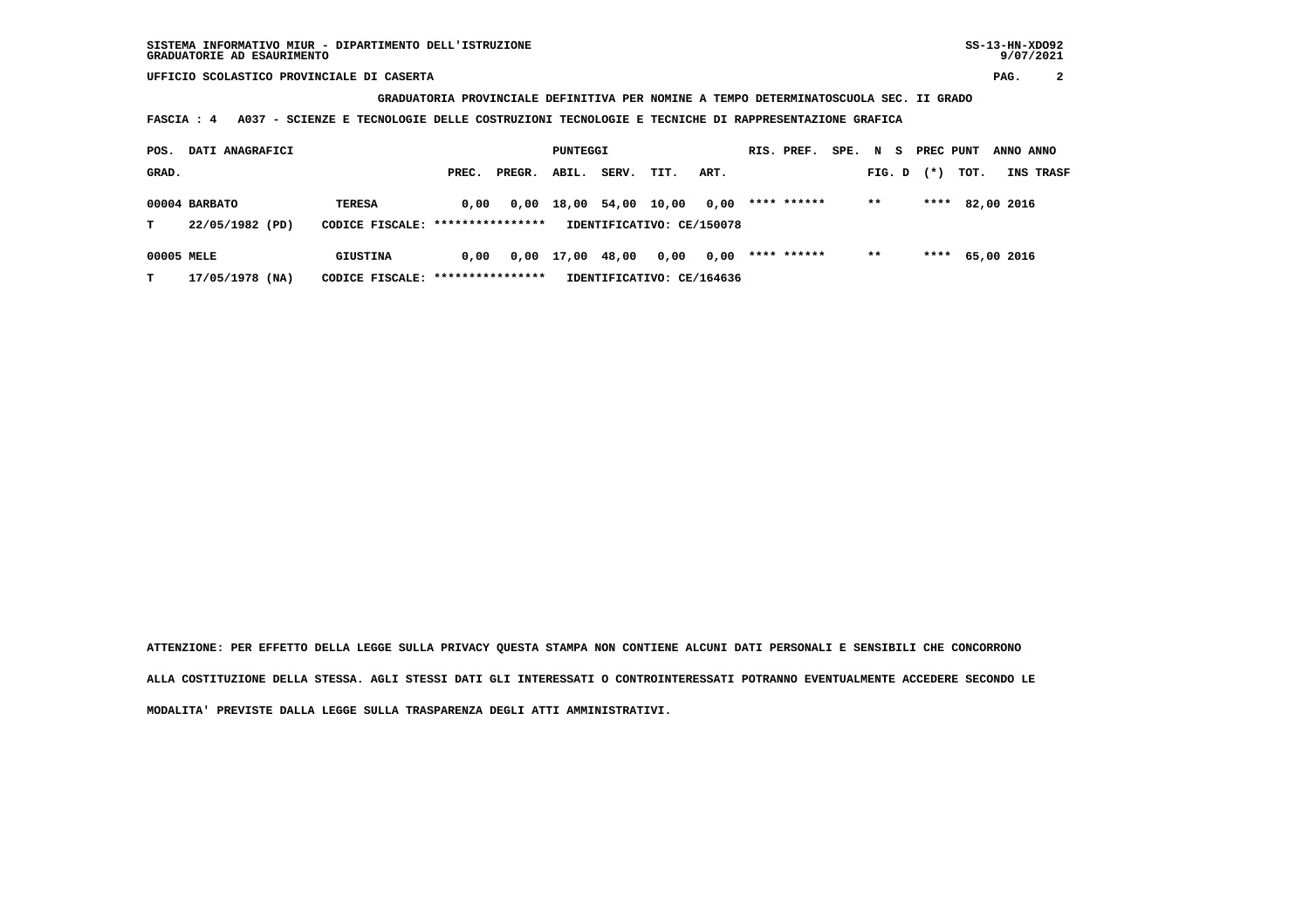**GRADUATORIA PROVINCIALE DEFINITIVA PER NOMINE A TEMPO DETERMINATOSCUOLA SEC. II GRADO**

 **FASCIA : 4 A037 - SCIENZE E TECNOLOGIE DELLE COSTRUZIONI TECNOLOGIE E TECNICHE DI RAPPRESENTAZIONE GRAFICA**

| POS.       | DATI ANAGRAFICI                  |                                                   |       | PUNTEGGI |       |       |                                    | RIS. PREF. | SPE.        | N S | PREC PUNT |       | ANNO ANNO  |  |           |
|------------|----------------------------------|---------------------------------------------------|-------|----------|-------|-------|------------------------------------|------------|-------------|-----|-----------|-------|------------|--|-----------|
| GRAD.      |                                  |                                                   | PREC. | PREGR.   | ABIL. | SERV. | TIT.                               | ART.       |             |     | FIG. D    | $(*)$ | TOT.       |  | INS TRASF |
| т          | 00004 BARBATO<br>22/05/1982 (PD) | <b>TERESA</b><br>CODICE FISCALE: **************** | 0.00  | 0,00     | 18,00 | 54,00 | 10,00<br>IDENTIFICATIVO: CE/150078 | 0,00       | **** ****** |     | $* *$     | ****  | 82,00 2016 |  |           |
|            |                                  |                                                   |       |          |       |       |                                    |            |             |     |           |       |            |  |           |
| 00005 MELE |                                  | GIUSTINA                                          | 0.00  | 0,00     | 17,00 | 48,00 | 0,00                               | 0,00       | **** ****** |     | $* *$     | ****  | 65,00 2016 |  |           |
| т          | 17/05/1978 (NA)                  | CODICE FISCALE: *****************                 |       |          |       |       | IDENTIFICATIVO: CE/164636          |            |             |     |           |       |            |  |           |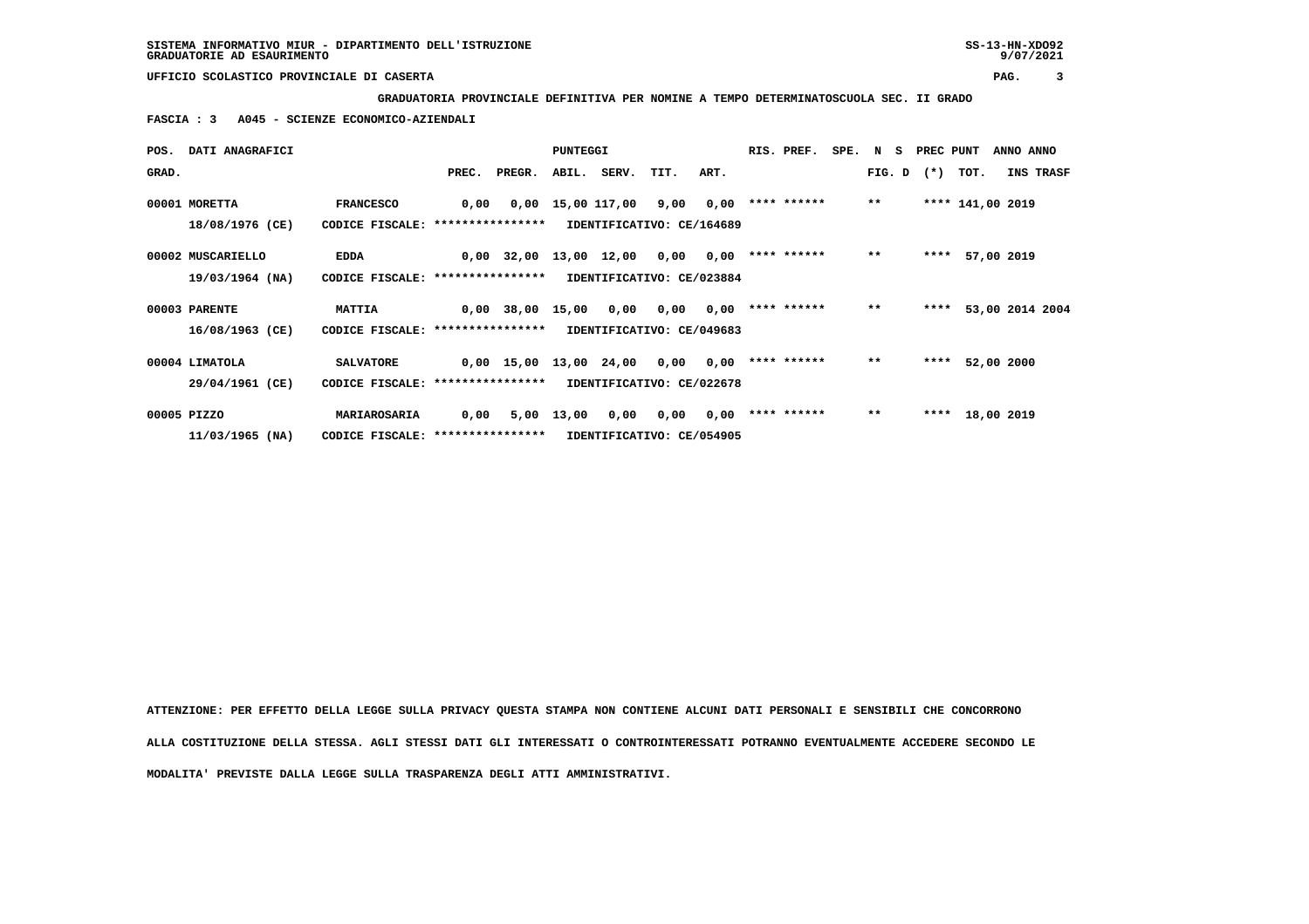**GRADUATORIA PROVINCIALE DEFINITIVA PER NOMINE A TEMPO DETERMINATOSCUOLA SEC. II GRADO**

 **FASCIA : 3 A045 - SCIENZE ECONOMICO-AZIENDALI**

|       | POS. DATI ANAGRAFICI |                                   |       |                        | PUNTEGGI   |                           |      |      | RIS. PREF.         |       | SPE. N S PREC PUNT |                  | ANNO ANNO            |  |
|-------|----------------------|-----------------------------------|-------|------------------------|------------|---------------------------|------|------|--------------------|-------|--------------------|------------------|----------------------|--|
| GRAD. |                      |                                   | PREC. | PREGR.                 |            | ABIL. SERV.               | TIT. | ART. |                    |       | $FIG. D$ $(*)$     | TOT.             | INS TRASF            |  |
|       | 00001 MORETTA        | <b>FRANCESCO</b>                  | 0,00  |                        |            | 0,00 15,00 117,00         | 9,00 | 0,00 | **** ******        | $**$  |                    | **** 141,00 2019 |                      |  |
|       | 18/08/1976 (CE)      | CODICE FISCALE: ****************  |       |                        |            | IDENTIFICATIVO: CE/164689 |      |      |                    |       |                    |                  |                      |  |
|       | 00002 MUSCARIELLO    | <b>EDDA</b>                       |       | 0,00 32,00 13,00 12,00 |            |                           | 0,00 |      | $0,00$ **** ****** | $***$ |                    | **** 57,00 2019  |                      |  |
|       | 19/03/1964 (NA)      | CODICE FISCALE: ****************  |       |                        |            | IDENTIFICATIVO: CE/023884 |      |      |                    |       |                    |                  |                      |  |
|       | 00003 PARENTE        | <b>MATTIA</b>                     |       | 0,00 38,00 15,00       |            | 0,00                      | 0,00 |      | $0,00$ **** ****** | $***$ |                    |                  | **** 53,00 2014 2004 |  |
|       | 16/08/1963 (CE)      | CODICE FISCALE: ***************** |       |                        |            | IDENTIFICATIVO: CE/049683 |      |      |                    |       |                    |                  |                      |  |
|       | 00004 LIMATOLA       | <b>SALVATORE</b>                  |       | 0,00 15,00 13,00 24,00 |            |                           | 0,00 | 0,00 | **** ******        | $**$  | ****               | 52,00 2000       |                      |  |
|       | 29/04/1961 (CE)      | CODICE FISCALE: ***************** |       |                        |            | IDENTIFICATIVO: CE/022678 |      |      |                    |       |                    |                  |                      |  |
|       | 00005 PIZZO          | MARIAROSARIA                      | 0,00  |                        | 5,00 13,00 | 0,00                      | 0,00 |      | $0,00$ **** ****** | $* *$ |                    | **** 18,00 2019  |                      |  |
|       | $11/03/1965$ (NA)    | CODICE FISCALE: ****************  |       |                        |            | IDENTIFICATIVO: CE/054905 |      |      |                    |       |                    |                  |                      |  |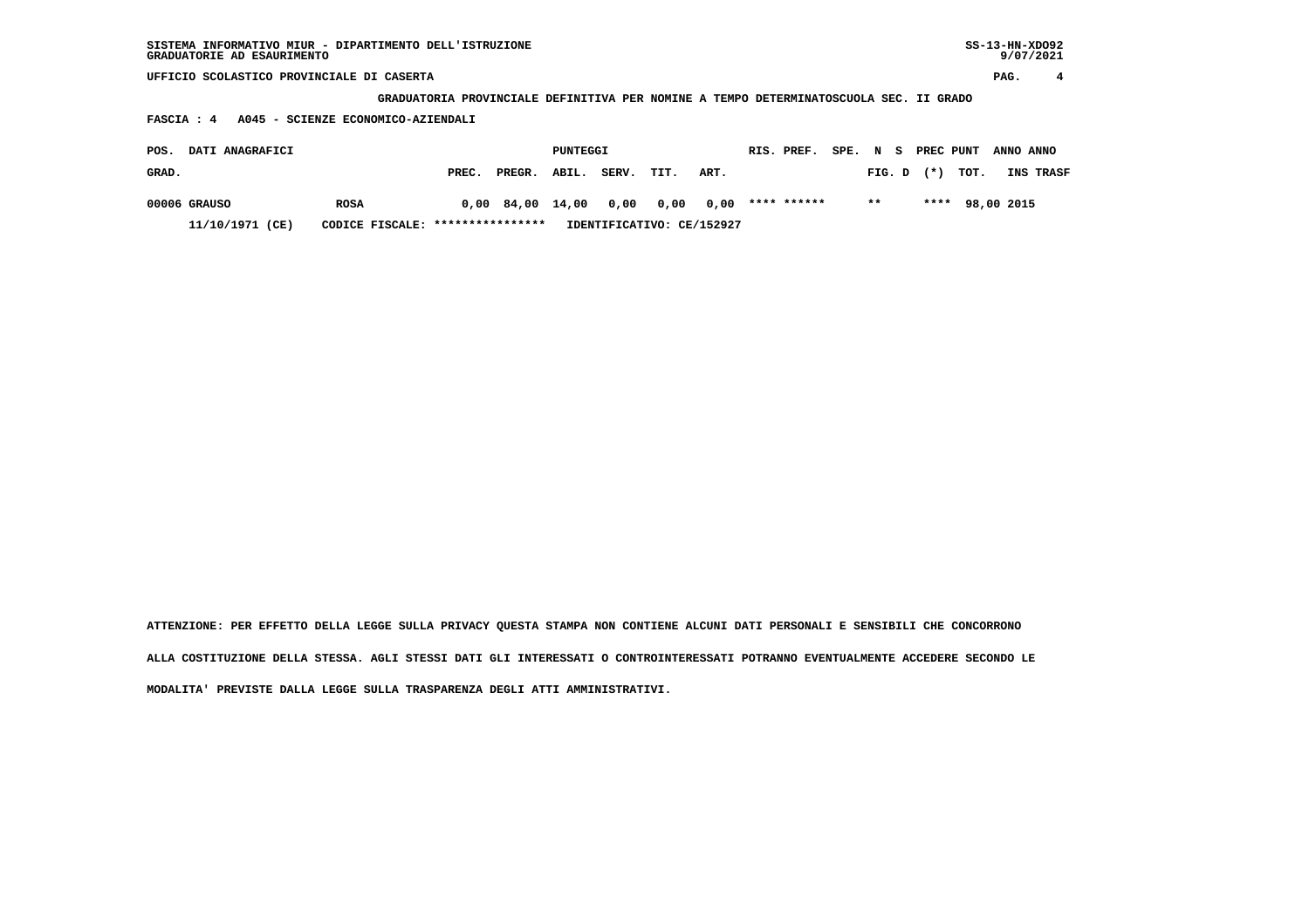| SISTEMA INFORMATIVO MIUR - DIPARTIMENTO DELL'ISTRUZIONE | SS-13-HN-XD092 |
|---------------------------------------------------------|----------------|
| GRADUATORIE AD ESAURIMENTO                              | 9/07/2021      |

 **GRADUATORIA PROVINCIALE DEFINITIVA PER NOMINE A TEMPO DETERMINATOSCUOLA SEC. II GRADO**

 **FASCIA : 4 A045 - SCIENZE ECONOMICO-AZIENDALI**

| POS.  | <b>DATI ANAGRAFICI</b> |                                  |       |                                               | PUNTEGGI |                           |      | RIS. PREF. |       |                | SPE. N S PREC PUNT ANNO ANNO |                  |
|-------|------------------------|----------------------------------|-------|-----------------------------------------------|----------|---------------------------|------|------------|-------|----------------|------------------------------|------------------|
| GRAD. |                        |                                  | PREC. | PREGR. ABIL.                                  |          | SERV. TIT.                | ART. |            |       | $FIG. D$ $(*)$ | тот.                         | <b>INS TRASF</b> |
|       | 00006 GRAUSO           | <b>ROSA</b>                      |       | $0,00$ 84,00 14,00 0,00 0,00 0,00 **** ****** |          |                           |      |            | $***$ |                | **** 98,00 2015              |                  |
|       | 11/10/1971 (CE)        | CODICE FISCALE: **************** |       |                                               |          | IDENTIFICATIVO: CE/152927 |      |            |       |                |                              |                  |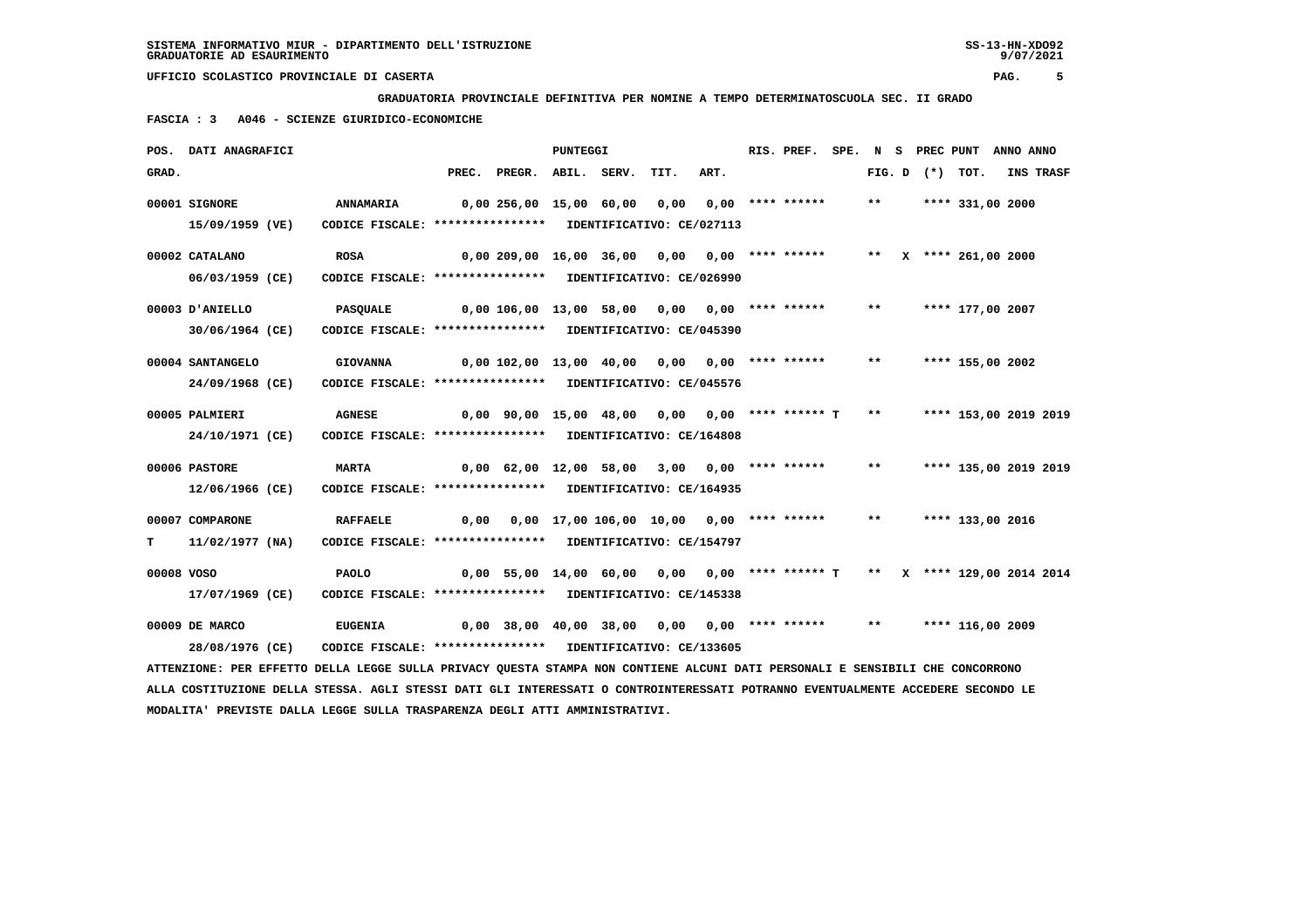**GRADUATORIA PROVINCIALE DEFINITIVA PER NOMINE A TEMPO DETERMINATOSCUOLA SEC. II GRADO**

 **FASCIA : 3 A046 - SCIENZE GIURIDICO-ECONOMICHE**

|       | POS. DATI ANAGRAFICI                                                                                                                             |                                                                                                                                             |       |                                                                           | PUNTEGGI |                                          |      | RIS. PREF.         |              | SPE. N S PREC PUNT |                         | ANNO ANNO |           |
|-------|--------------------------------------------------------------------------------------------------------------------------------------------------|---------------------------------------------------------------------------------------------------------------------------------------------|-------|---------------------------------------------------------------------------|----------|------------------------------------------|------|--------------------|--------------|--------------------|-------------------------|-----------|-----------|
| GRAD. |                                                                                                                                                  |                                                                                                                                             | PREC. | PREGR. ABIL. SERV.                                                        |          | TIT.                                     | ART. |                    |              | FIG. D $(*)$       | TOT.                    |           | INS TRASF |
|       | 00001 SIGNORE<br>15/09/1959 (VE)                                                                                                                 | <b>ANNAMARIA</b><br>CODICE FISCALE: **************** IDENTIFICATIVO: CE/027113                                                              |       | 0,00 256,00 15,00 60,00                                                   |          | 0,00                                     |      | $0.00$ **** ****** | $***$        |                    | **** 331,00 2000        |           |           |
|       | 00002 CATALANO<br>06/03/1959 (CE)                                                                                                                | <b>ROSA</b><br>CODICE FISCALE: **************** IDENTIFICATIVO: CE/026990                                                                   |       | 0,00 209,00 16,00 36,00 0,00 0,00 **** ******                             |          |                                          |      |                    |              |                    | ** $X$ **** 261,00 2000 |           |           |
|       | 00003 D'ANIELLO<br>30/06/1964 (CE)                                                                                                               | <b>PASQUALE</b><br>CODICE FISCALE: **************** IDENTIFICATIVO: CE/045390                                                               |       | 0,00 106,00 13,00 58,00 0,00 0,00 **** ******                             |          |                                          |      |                    | $***$        |                    | **** 177,00 2007        |           |           |
|       | 00004 SANTANGELO                                                                                                                                 | <b>GIOVANNA</b>                                                                                                                             |       | 0,00 102,00 13,00 40,00 0,00                                              |          |                                          |      | $0.00$ **** ****** | $* *$        |                    | **** 155,00 2002        |           |           |
|       | 24/09/1968 (CE)<br>00005 PALMIERI                                                                                                                | CODICE FISCALE: **************** IDENTIFICATIVO: CE/045576<br><b>AGNESE</b>                                                                 |       | $0,00$ 90,00 15,00 48,00 0,00 0,00 **** ****** T                          |          |                                          |      |                    | $\star\star$ |                    | **** 153,00 2019 2019   |           |           |
|       | 24/10/1971 (CE)<br>00006 PASTORE                                                                                                                 | CODICE FISCALE: **************** IDENTIFICATIVO: CE/164808<br><b>MARTA</b>                                                                  |       | $0,00$ 62,00 12,00 58,00 3,00 0,00 **** ******                            |          |                                          |      |                    | $***$        |                    | **** 135,00 2019 2019   |           |           |
| т     | 12/06/1966 (CE)<br>00007 COMPARONE<br>11/02/1977 (NA)                                                                                            | CODICE FISCALE: **************** IDENTIFICATIVO: CE/164935<br><b>RAFFAELE</b><br>CODICE FISCALE: **************** IDENTIFICATIVO: CE/154797 | 0,00  |                                                                           |          | 0,00 17,00 106,00 10,00 0,00 **** ****** |      |                    | $***$        |                    | **** 133,00 2016        |           |           |
|       | 00008 VOSO<br>17/07/1969 (CE)                                                                                                                    | <b>PAOLO</b><br>CODICE FISCALE: **************** IDENTIFICATIVO: CE/145338                                                                  |       | 0,00 55,00 14,00 60,00 0,00 0,00 **** ****** T ** X **** 129,00 2014 2014 |          |                                          |      |                    |              |                    |                         |           |           |
|       | 00009 DE MARCO                                                                                                                                   | <b>EUGENIA</b>                                                                                                                              |       | $0,00$ 38,00 40,00 38,00 0,00 0,00 **** ******                            |          |                                          |      |                    | $***$        |                    | **** 116,00 2009        |           |           |
|       | 28/08/1976 (CE)<br>ATTENZIONE: PER EFFETTO DELLA LEGGE SULLA PRIVACY QUESTA STAMPA NON CONTIENE ALCUNI DATI PERSONALI E SENSIBILI CHE CONCORRONO | CODICE FISCALE: **************** IDENTIFICATIVO: CE/133605                                                                                  |       |                                                                           |          |                                          |      |                    |              |                    |                         |           |           |
|       | ALLA COSTITUZIONE DELLA STESSA. AGLI STESSI DATI GLI INTERESSATI O CONTROINTERESSATI POTRANNO EVENTUALMENTE ACCEDERE SECONDO LE                  |                                                                                                                                             |       |                                                                           |          |                                          |      |                    |              |                    |                         |           |           |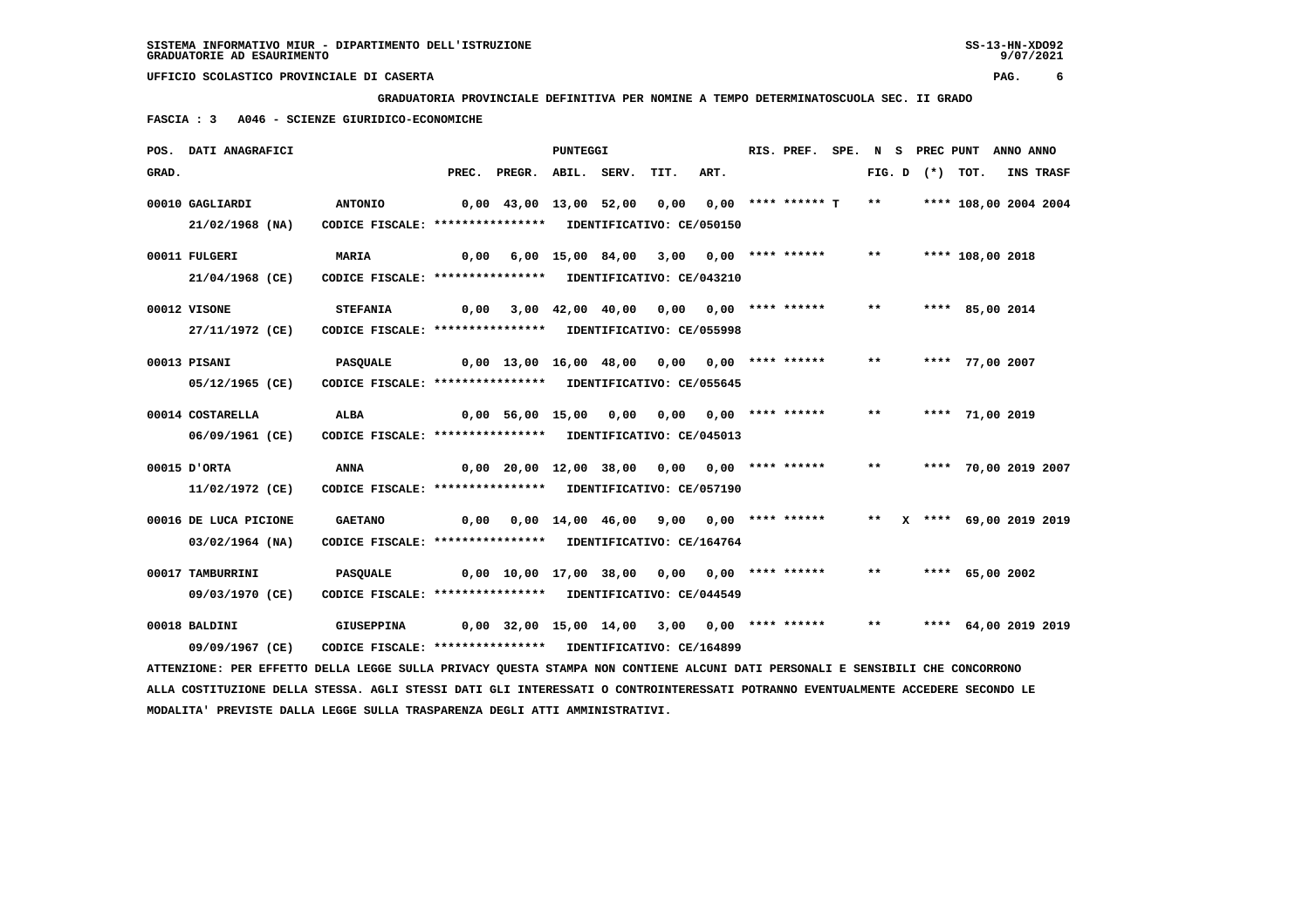**GRADUATORIA PROVINCIALE DEFINITIVA PER NOMINE A TEMPO DETERMINATOSCUOLA SEC. II GRADO**

 **FASCIA : 3 A046 - SCIENZE GIURIDICO-ECONOMICHE**

|       | POS. DATI ANAGRAFICI                                                                                                            |                                                            |       |                                                         | <b>PUNTEGGI</b>  |                       |      | RIS. PREF.           |       |                     | SPE. N S PREC PUNT ANNO ANNO |                  |
|-------|---------------------------------------------------------------------------------------------------------------------------------|------------------------------------------------------------|-------|---------------------------------------------------------|------------------|-----------------------|------|----------------------|-------|---------------------|------------------------------|------------------|
| GRAD. |                                                                                                                                 |                                                            | PREC. | PREGR. ABIL. SERV.                                      |                  | TIT.                  | ART. |                      |       | FIG. $D$ $(*)$ TOT. |                              | <b>INS TRASF</b> |
|       | 00010 GAGLIARDI                                                                                                                 | <b>ANTONIO</b>                                             |       | $0,00$ 43,00 13,00 52,00                                |                  | 0.00                  |      | $0.00$ **** ****** T | $***$ |                     | **** 108,00 2004 2004        |                  |
|       | $21/02/1968$ (NA)                                                                                                               | CODICE FISCALE: **************** IDENTIFICATIVO: CE/050150 |       |                                                         |                  |                       |      |                      |       |                     |                              |                  |
|       | 00011 FULGERI                                                                                                                   | MARIA                                                      |       | $0,00$ 6,00 15,00 84,00 3,00 0,00 **** ******           |                  |                       |      |                      | $***$ |                     | **** 108,00 2018             |                  |
|       | 21/04/1968 (CE)                                                                                                                 | CODICE FISCALE: **************** IDENTIFICATIVO: CE/043210 |       |                                                         |                  |                       |      |                      |       |                     |                              |                  |
|       | 00012 VISONE                                                                                                                    | <b>STEFANIA</b>                                            | 0,00  |                                                         | 3,00 42,00 40,00 | 0,00                  |      | $0,00$ **** ******   | $* *$ |                     | **** 85,00 2014              |                  |
|       | 27/11/1972 (CE)                                                                                                                 | CODICE FISCALE: **************** IDENTIFICATIVO: CE/055998 |       |                                                         |                  |                       |      |                      |       |                     |                              |                  |
|       |                                                                                                                                 |                                                            |       |                                                         |                  |                       |      |                      |       |                     |                              |                  |
|       | 00013 PISANI                                                                                                                    | <b>PASOUALE</b>                                            |       | $0,00$ 13,00 16,00 48,00 0,00 0,00 **** ******          |                  |                       |      |                      | $***$ |                     | **** 77,00 2007              |                  |
|       | 05/12/1965 (CE)                                                                                                                 | CODICE FISCALE: **************** IDENTIFICATIVO: CE/055645 |       |                                                         |                  |                       |      |                      |       |                     |                              |                  |
|       | 00014 COSTARELLA                                                                                                                | ALBA                                                       |       | 0,00 56,00 15,00 0,00                                   |                  | 0,00 0,00 **** ****** |      |                      | $***$ |                     | **** 71,00 2019              |                  |
|       | 06/09/1961 (CE)                                                                                                                 | CODICE FISCALE: **************** IDENTIFICATIVO: CE/045013 |       |                                                         |                  |                       |      |                      |       |                     |                              |                  |
|       | 00015 D'ORTA                                                                                                                    | <b>ANNA</b>                                                |       | $0,00$ 20,00 12,00 38,00 0,00 0,00 **** ******          |                  |                       |      |                      | $***$ |                     | **** 70,00 2019 2007         |                  |
|       | 11/02/1972 (CE)                                                                                                                 | CODICE FISCALE: **************** IDENTIFICATIVO: CE/057190 |       |                                                         |                  |                       |      |                      |       |                     |                              |                  |
|       |                                                                                                                                 |                                                            |       |                                                         |                  |                       |      |                      |       |                     |                              |                  |
|       | 00016 DE LUCA PICIONE                                                                                                           | <b>GAETANO</b>                                             |       | $0,00$ $0,00$ $14,00$ $46,00$ $9,00$ $0,00$ **** ****** |                  |                       |      |                      | $***$ |                     | X **** 69,00 2019 2019       |                  |
|       | $03/02/1964$ (NA)                                                                                                               | CODICE FISCALE: **************** IDENTIFICATIVO: CE/164764 |       |                                                         |                  |                       |      |                      |       |                     |                              |                  |
|       | 00017 TAMBURRINI                                                                                                                | <b>PASQUALE</b>                                            |       | $0,00$ 10,00 17,00 38,00 0,00 0,00 **** ******          |                  |                       |      |                      | $* *$ |                     | **** 65,00 2002              |                  |
|       | 09/03/1970 (CE)                                                                                                                 | CODICE FISCALE: **************** IDENTIFICATIVO: CE/044549 |       |                                                         |                  |                       |      |                      |       |                     |                              |                  |
|       | 00018 BALDINI                                                                                                                   | <b>GIUSEPPINA</b>                                          |       | $0,00$ 32,00 15,00 14,00 3,00 0,00 **** ******          |                  |                       |      |                      | $***$ |                     | **** 64,00 2019 2019         |                  |
|       | 09/09/1967 (CE)                                                                                                                 | CODICE FISCALE: **************** IDENTIFICATIVO: CE/164899 |       |                                                         |                  |                       |      |                      |       |                     |                              |                  |
|       | ATTENZIONE: PER EFFETTO DELLA LEGGE SULLA PRIVACY QUESTA STAMPA NON CONTIENE ALCUNI DATI PERSONALI E SENSIBILI CHE CONCORRONO   |                                                            |       |                                                         |                  |                       |      |                      |       |                     |                              |                  |
|       | ALLA COSTITUZIONE DELLA STESSA. AGLI STESSI DATI GLI INTERESSATI O CONTROINTERESSATI POTRANNO EVENTUALMENTE ACCEDERE SECONDO LE |                                                            |       |                                                         |                  |                       |      |                      |       |                     |                              |                  |
|       | MODALITA' PREVISTE DALLA LEGGE SULLA TRASPARENZA DEGLI ATTI AMMINISTRATIVI.                                                     |                                                            |       |                                                         |                  |                       |      |                      |       |                     |                              |                  |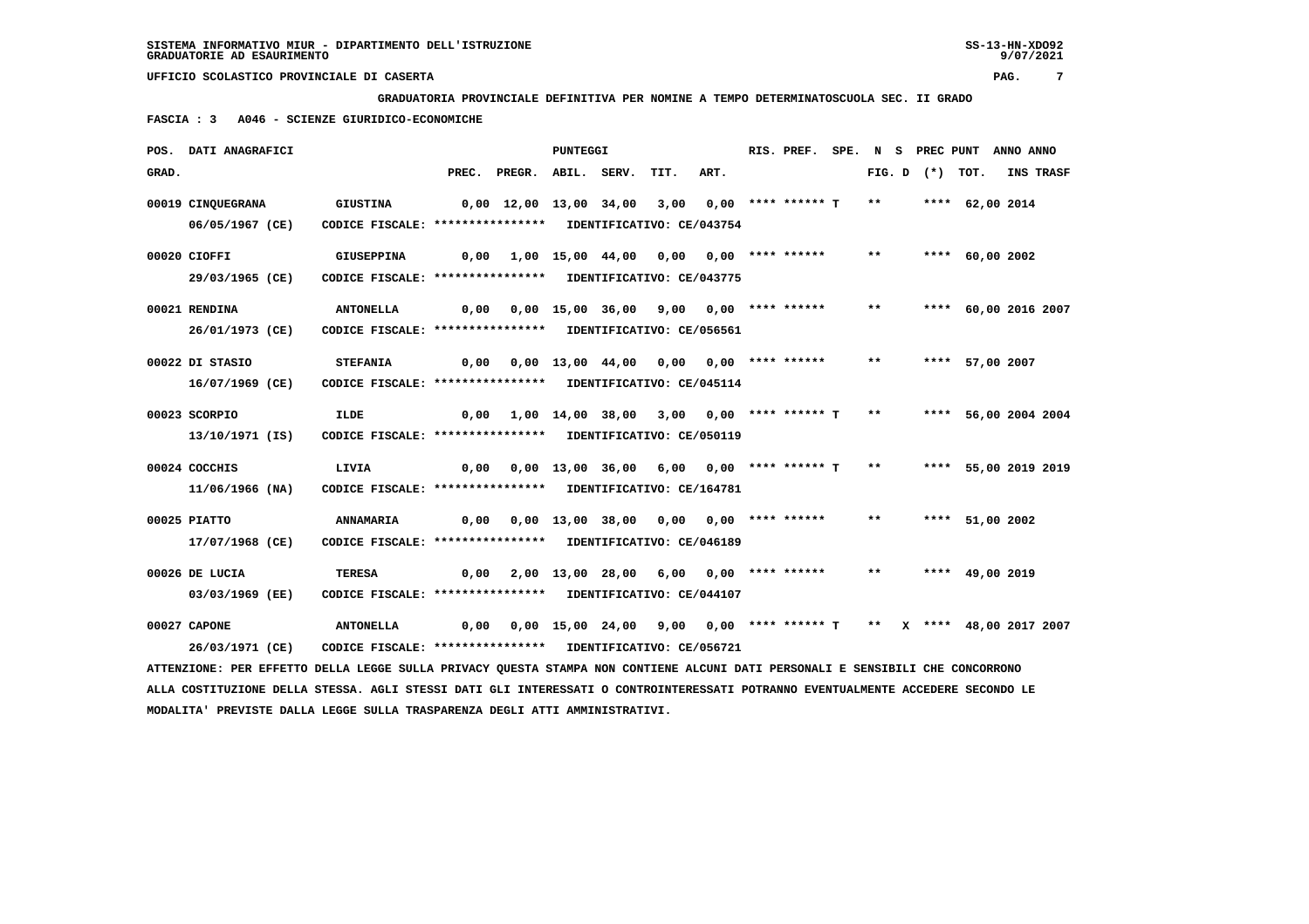**GRADUATORIA PROVINCIALE DEFINITIVA PER NOMINE A TEMPO DETERMINATOSCUOLA SEC. II GRADO**

 **FASCIA : 3 A046 - SCIENZE GIURIDICO-ECONOMICHE**

|       | POS. DATI ANAGRAFICI                                                                                                            |                                                                               |       |                                                              | PUNTEGGI |                                                                    |                       | RIS. PREF. SPE. N S PREC PUNT |              |                   |                      | ANNO ANNO |           |
|-------|---------------------------------------------------------------------------------------------------------------------------------|-------------------------------------------------------------------------------|-------|--------------------------------------------------------------|----------|--------------------------------------------------------------------|-----------------------|-------------------------------|--------------|-------------------|----------------------|-----------|-----------|
| GRAD. |                                                                                                                                 |                                                                               | PREC. | PREGR. ABIL. SERV.                                           |          | TIT.                                                               | ART.                  |                               |              | FIG. D $(*)$ TOT. |                      |           | INS TRASF |
|       | 00019 CINQUEGRANA<br>06/05/1967 (CE)                                                                                            | <b>GIUSTINA</b><br>CODICE FISCALE: **************** IDENTIFICATIVO: CE/043754 |       | 0,00 12,00 13,00 34,00                                       |          | 3,00                                                               |                       | $0.00$ **** ****** T **       |              |                   | **** 62,00 2014      |           |           |
|       |                                                                                                                                 |                                                                               |       |                                                              |          |                                                                    |                       |                               |              |                   |                      |           |           |
|       | 00020 CIOFFI                                                                                                                    | <b>GIUSEPPINA</b>                                                             |       | $0,00$ $1,00$ $15,00$ $44,00$                                |          |                                                                    | 0,00 0,00 **** ****** |                               | $* *$        |                   | **** 60,00 2002      |           |           |
|       | 29/03/1965 (CE)                                                                                                                 | CODICE FISCALE: **************** IDENTIFICATIVO: CE/043775                    |       |                                                              |          |                                                                    |                       |                               |              |                   |                      |           |           |
|       | 00021 RENDINA                                                                                                                   | <b>ANTONELLA</b>                                                              |       | $0,00$ $0,00$ $15,00$ $36,00$ $9,00$ $0,00$ $***$            |          |                                                                    |                       |                               | $***$        |                   | **** 60,00 2016 2007 |           |           |
|       | 26/01/1973 (CE)                                                                                                                 | CODICE FISCALE: **************** IDENTIFICATIVO: CE/056561                    |       |                                                              |          |                                                                    |                       |                               |              |                   |                      |           |           |
|       |                                                                                                                                 |                                                                               |       |                                                              |          |                                                                    |                       |                               |              |                   |                      |           |           |
|       | 00022 DI STASIO                                                                                                                 | <b>STEFANIA</b>                                                               | 0,00  |                                                              |          | 0,00 13,00 44,00 0,00                                              |                       | $0.00$ **** ******            | $***$        |                   | **** 57,00 2007      |           |           |
|       | 16/07/1969 (CE)                                                                                                                 | CODICE FISCALE: **************** IDENTIFICATIVO: CE/045114                    |       |                                                              |          |                                                                    |                       |                               |              |                   |                      |           |           |
|       | 00023 SCORPIO                                                                                                                   | <b>ILDE</b>                                                                   |       |                                                              |          |                                                                    |                       |                               |              |                   |                      |           |           |
|       |                                                                                                                                 |                                                                               | 0,00  |                                                              |          | $1,00$ $14,00$ $38,00$ $3,00$ $0,00$ **** ****** T **              |                       |                               |              |                   | **** 56,00 2004 2004 |           |           |
|       | 13/10/1971 (IS)                                                                                                                 | CODICE FISCALE: **************** IDENTIFICATIVO: CE/050119                    |       |                                                              |          |                                                                    |                       |                               |              |                   |                      |           |           |
|       | 00024 COCCHIS                                                                                                                   | LIVIA                                                                         | 0,00  |                                                              |          | $0,00$ 13,00 36,00 6,00 0,00 **** ****** T                         |                       |                               | $\star\star$ |                   | **** 55,00 2019 2019 |           |           |
|       | 11/06/1966 (NA)                                                                                                                 | CODICE FISCALE: **************** IDENTIFICATIVO: CE/164781                    |       |                                                              |          |                                                                    |                       |                               |              |                   |                      |           |           |
|       |                                                                                                                                 |                                                                               |       |                                                              |          |                                                                    |                       |                               |              |                   |                      |           |           |
|       | 00025 PIATTO                                                                                                                    | <b>ANNAMARIA</b>                                                              |       | $0,00$ $0,00$ $13,00$ $38,00$ $0,00$ $0,00$ $***$ **** ***** |          |                                                                    |                       |                               | $* *$        |                   | **** 51,00 2002      |           |           |
|       | 17/07/1968 (CE)                                                                                                                 | CODICE FISCALE: **************** IDENTIFICATIVO: CE/046189                    |       |                                                              |          |                                                                    |                       |                               |              |                   |                      |           |           |
|       | 00026 DE LUCIA                                                                                                                  | <b>TERESA</b>                                                                 |       | $0,00$ 2,00 13,00 28,00 6,00 0,00 **** ******                |          |                                                                    |                       |                               | $***$        |                   | **** 49,00 2019      |           |           |
|       | 03/03/1969 (EE)                                                                                                                 | CODICE FISCALE: **************** IDENTIFICATIVO: CE/044107                    |       |                                                              |          |                                                                    |                       |                               |              |                   |                      |           |           |
|       |                                                                                                                                 |                                                                               |       |                                                              |          |                                                                    |                       |                               |              |                   |                      |           |           |
|       | 00027 CAPONE                                                                                                                    | <b>ANTONELLA</b>                                                              | 0,00  |                                                              |          | 0,00 15,00 24,00 9,00 0,00 **** ****** T ** X **** 48,00 2017 2007 |                       |                               |              |                   |                      |           |           |
|       | 26/03/1971 (CE)                                                                                                                 | CODICE FISCALE: **************** IDENTIFICATIVO: CE/056721                    |       |                                                              |          |                                                                    |                       |                               |              |                   |                      |           |           |
|       | ATTENZIONE: PER EFFETTO DELLA LEGGE SULLA PRIVACY QUESTA STAMPA NON CONTIENE ALCUNI DATI PERSONALI E SENSIBILI CHE CONCORRONO   |                                                                               |       |                                                              |          |                                                                    |                       |                               |              |                   |                      |           |           |
|       | ALLA COSTITUZIONE DELLA STESSA. AGLI STESSI DATI GLI INTERESSATI O CONTROINTERESSATI POTRANNO EVENTUALMENTE ACCEDERE SECONDO LE |                                                                               |       |                                                              |          |                                                                    |                       |                               |              |                   |                      |           |           |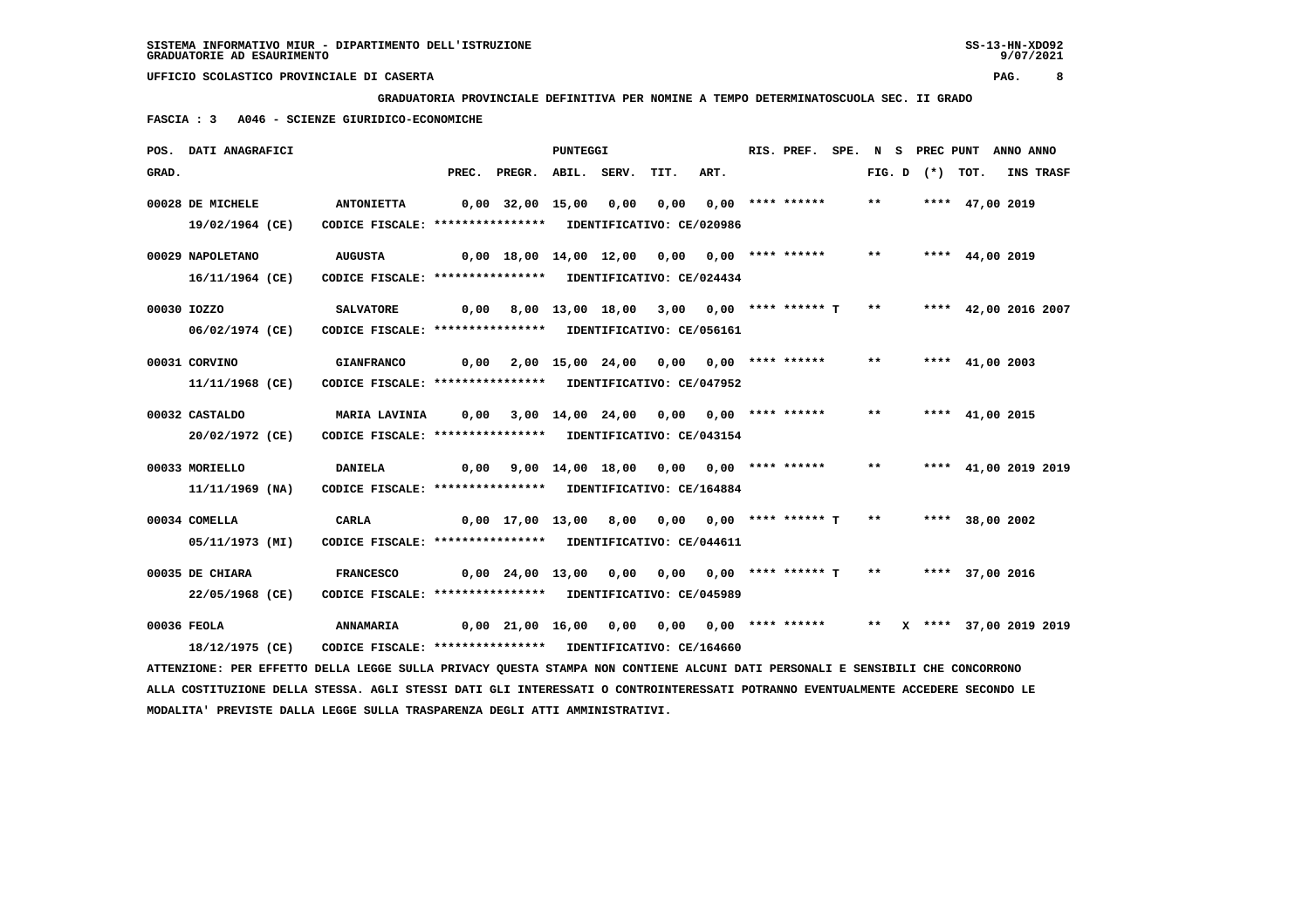**GRADUATORIA PROVINCIALE DEFINITIVA PER NOMINE A TEMPO DETERMINATOSCUOLA SEC. II GRADO**

 **FASCIA : 3 A046 - SCIENZE GIURIDICO-ECONOMICHE**

|       | POS. DATI ANAGRAFICI                                                                                                            |                                                            |       |                                                                          | PUNTEGGI         |      |                                          |                                |  | RIS. PREF.         |  |       |                   | SPE. N S PREC PUNT ANNO ANNO |           |
|-------|---------------------------------------------------------------------------------------------------------------------------------|------------------------------------------------------------|-------|--------------------------------------------------------------------------|------------------|------|------------------------------------------|--------------------------------|--|--------------------|--|-------|-------------------|------------------------------|-----------|
| GRAD. |                                                                                                                                 |                                                            | PREC. | PREGR. ABIL. SERV.                                                       |                  |      | TIT.                                     | ART.                           |  |                    |  |       | FIG. D $(*)$ TOT. |                              | INS TRASF |
|       | 00028 DE MICHELE                                                                                                                | <b>ANTONIETTA</b>                                          |       | 0,00 32,00 15,00                                                         |                  | 0,00 | 0,00                                     |                                |  | $0,00$ **** ****** |  | $***$ |                   | **** 47,00 2019              |           |
|       | 19/02/1964 (CE)                                                                                                                 | CODICE FISCALE: **************** IDENTIFICATIVO: CE/020986 |       |                                                                          |                  |      |                                          |                                |  |                    |  |       |                   |                              |           |
|       | 00029 NAPOLETANO                                                                                                                | <b>AUGUSTA</b>                                             |       | 0,00 18,00 14,00 12,00 0,00 0,00 **** ******                             |                  |      |                                          |                                |  |                    |  | $***$ |                   | **** 44,00 2019              |           |
|       | 16/11/1964 (CE)                                                                                                                 | CODICE FISCALE: **************** IDENTIFICATIVO: CE/024434 |       |                                                                          |                  |      |                                          |                                |  |                    |  |       |                   |                              |           |
|       | 00030 IOZZO                                                                                                                     | <b>SALVATORE</b>                                           |       | $0,00$ 8,00 13,00 18,00 3,00 0,00 **** ****** T **                       |                  |      |                                          |                                |  |                    |  |       |                   | **** 42,00 2016 2007         |           |
|       | 06/02/1974 (CE)                                                                                                                 | CODICE FISCALE: **************** IDENTIFICATIVO: CE/056161 |       |                                                                          |                  |      |                                          |                                |  |                    |  |       |                   |                              |           |
|       | 00031 CORVINO                                                                                                                   | <b>GIANFRANCO</b>                                          | 0,00  |                                                                          | 2,00 15,00 24,00 |      | 0,00 0,00 **** ******                    |                                |  |                    |  | $***$ |                   | **** $41,00$ 2003            |           |
|       | 11/11/1968 (CE)                                                                                                                 | CODICE FISCALE: **************** IDENTIFICATIVO: CE/047952 |       |                                                                          |                  |      |                                          |                                |  |                    |  |       |                   |                              |           |
|       | 00032 CASTALDO                                                                                                                  | MARIA LAVINIA                                              | 0,00  |                                                                          |                  |      | $3,00$ 14,00 24,00 0,00 0,00 **** ****** |                                |  |                    |  | $* *$ |                   | **** 41,00 2015              |           |
|       | 20/02/1972 (CE)                                                                                                                 | CODICE FISCALE: **************** IDENTIFICATIVO: CE/043154 |       |                                                                          |                  |      |                                          |                                |  |                    |  |       |                   |                              |           |
|       |                                                                                                                                 |                                                            |       |                                                                          |                  |      |                                          |                                |  |                    |  |       |                   |                              |           |
|       | 00033 MORIELLO                                                                                                                  | <b>DANIELA</b>                                             | 0,00  |                                                                          |                  |      | 9,00 14,00 18,00 0,00 0,00 **** ******   |                                |  |                    |  | $***$ |                   | **** 41,00 2019 2019         |           |
|       | 11/11/1969 (NA)                                                                                                                 | CODICE FISCALE: **************** IDENTIFICATIVO: CE/164884 |       |                                                                          |                  |      |                                          |                                |  |                    |  |       |                   |                              |           |
|       | 00034 COMELLA                                                                                                                   | <b>CARLA</b>                                               |       | $0,00$ 17,00 13,00 8,00 0,00 0,00 **** ****** T                          |                  |      |                                          |                                |  |                    |  | $***$ |                   | **** 38,00 2002              |           |
|       | 05/11/1973 (MI)                                                                                                                 | CODICE FISCALE: **************** IDENTIFICATIVO: CE/044611 |       |                                                                          |                  |      |                                          |                                |  |                    |  |       |                   |                              |           |
|       | 00035 DE CHIARA                                                                                                                 | <b>FRANCESCO</b>                                           |       | $0,00$ $24,00$ $13,00$ $0,00$                                            |                  |      |                                          | $0,00$ $0,00$ **** ****** T ** |  |                    |  |       |                   | **** 37,00 2016              |           |
|       | 22/05/1968 (CE)                                                                                                                 | CODICE FISCALE: **************** IDENTIFICATIVO: CE/045989 |       |                                                                          |                  |      |                                          |                                |  |                    |  |       |                   |                              |           |
|       |                                                                                                                                 |                                                            |       |                                                                          |                  |      |                                          |                                |  |                    |  |       |                   |                              |           |
|       | 00036 FEOLA                                                                                                                     | ANNAMARIA                                                  |       | 0,00 21,00 16,00 0,00 0,00 0,00 **** ****** ** ** ** *** 37,00 2019 2019 |                  |      |                                          |                                |  |                    |  |       |                   |                              |           |
|       | 18/12/1975 (CE)                                                                                                                 | CODICE FISCALE: **************** IDENTIFICATIVO: CE/164660 |       |                                                                          |                  |      |                                          |                                |  |                    |  |       |                   |                              |           |
|       | ATTENZIONE: PER EFFETTO DELLA LEGGE SULLA PRIVACY QUESTA STAMPA NON CONTIENE ALCUNI DATI PERSONALI E SENSIBILI CHE CONCORRONO   |                                                            |       |                                                                          |                  |      |                                          |                                |  |                    |  |       |                   |                              |           |
|       | ALLA COSTITUZIONE DELLA STESSA. AGLI STESSI DATI GLI INTERESSATI O CONTROINTERESSATI POTRANNO EVENTUALMENTE ACCEDERE SECONDO LE |                                                            |       |                                                                          |                  |      |                                          |                                |  |                    |  |       |                   |                              |           |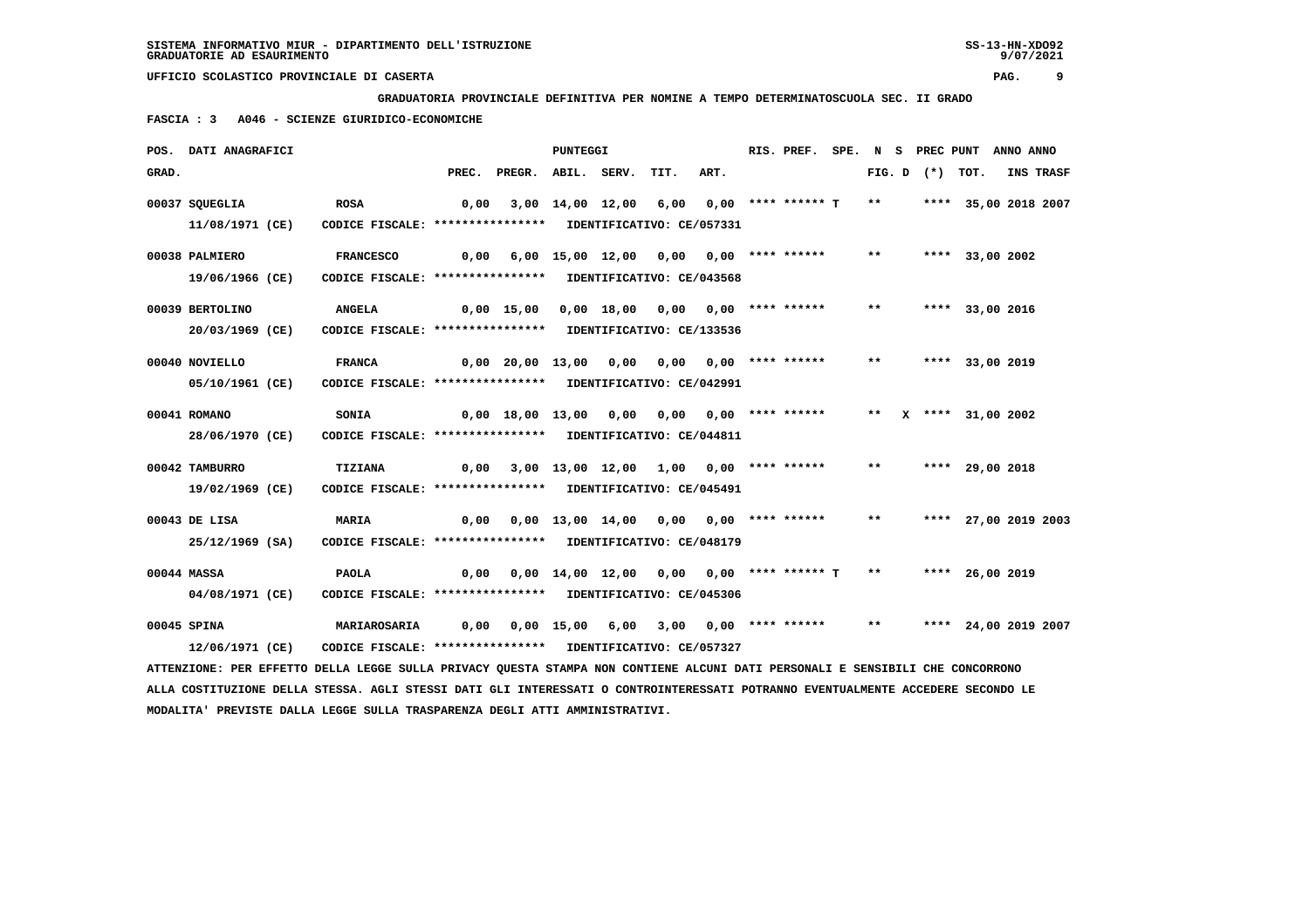**GRADUATORIA PROVINCIALE DEFINITIVA PER NOMINE A TEMPO DETERMINATOSCUOLA SEC. II GRADO**

 **FASCIA : 3 A046 - SCIENZE GIURIDICO-ECONOMICHE**

|       | POS. DATI ANAGRAFICI                                                                                                            |                                                            |      |                                                              | <b>PUNTEGGI</b> |                                            |      | RIS. PREF. |              |                   | SPE. N S PREC PUNT ANNO ANNO |           |
|-------|---------------------------------------------------------------------------------------------------------------------------------|------------------------------------------------------------|------|--------------------------------------------------------------|-----------------|--------------------------------------------|------|------------|--------------|-------------------|------------------------------|-----------|
| GRAD. |                                                                                                                                 |                                                            |      | PREC. PREGR. ABIL. SERV.                                     |                 | TIT.                                       | ART. |            |              | FIG. D $(*)$ TOT. |                              | INS TRASF |
|       | 00037 SQUEGLIA                                                                                                                  | <b>ROSA</b>                                                | 0,00 |                                                              |                 | $3,00$ 14,00 12,00 6,00 0,00 **** ****** T |      |            | $***$        |                   | **** 35,00 2018 2007         |           |
|       | 11/08/1971 (CE)                                                                                                                 | CODICE FISCALE: **************** IDENTIFICATIVO: CE/057331 |      |                                                              |                 |                                            |      |            |              |                   |                              |           |
|       | 00038 PALMIERO                                                                                                                  | <b>FRANCESCO</b>                                           | 0,00 |                                                              |                 | 6,00 15,00 12,00 0,00 0,00 **** ******     |      |            | $***$        |                   | **** 33,00 2002              |           |
|       | 19/06/1966 (CE)                                                                                                                 | CODICE FISCALE: **************** IDENTIFICATIVO: CE/043568 |      |                                                              |                 |                                            |      |            |              |                   |                              |           |
|       | 00039 BERTOLINO                                                                                                                 | <b>ANGELA</b>                                              |      | 0,00 15,00                                                   |                 | $0,00$ 18,00 0,00 0,00 **** ******         |      |            | $***$        |                   | **** 33,00 2016              |           |
|       | 20/03/1969 (CE)                                                                                                                 | CODICE FISCALE: *****************                          |      |                                                              |                 | IDENTIFICATIVO: CE/133536                  |      |            |              |                   |                              |           |
|       | 00040 NOVIELLO                                                                                                                  | <b>FRANCA</b>                                              |      | $0,00$ 20,00 13,00 0,00 0,00 0,00 **** ******                |                 |                                            |      |            | $***$        |                   | **** 33,00 2019              |           |
|       | 05/10/1961 (CE)                                                                                                                 | CODICE FISCALE: **************** IDENTIFICATIVO: CE/042991 |      |                                                              |                 |                                            |      |            |              |                   |                              |           |
|       | 00041 ROMANO                                                                                                                    | <b>SONIA</b>                                               |      | $0,00$ 18,00 13,00 0,00 0,00 0,00 **** ******                |                 |                                            |      |            |              |                   | ** X **** 31,00 2002         |           |
|       | 28/06/1970 (CE)                                                                                                                 | CODICE FISCALE: **************** IDENTIFICATIVO: CE/044811 |      |                                                              |                 |                                            |      |            |              |                   |                              |           |
|       | 00042 TAMBURRO                                                                                                                  | TIZIANA                                                    | 0,00 |                                                              |                 | 3,00 13,00 12,00 1,00 0,00 **** ******     |      |            | $***$        |                   | **** 29,00 2018              |           |
|       | 19/02/1969 (CE)                                                                                                                 | CODICE FISCALE: **************** IDENTIFICATIVO: CE/045491 |      |                                                              |                 |                                            |      |            |              |                   |                              |           |
|       | 00043 DE LISA                                                                                                                   | <b>MARIA</b>                                               |      | $0,00$ $0,00$ $13,00$ $14,00$ $0,00$ $0,00$ $***$ **** ***** |                 |                                            |      |            | $***$        |                   | **** 27,00 2019 2003         |           |
|       | 25/12/1969 (SA)                                                                                                                 | CODICE FISCALE: **************** IDENTIFICATIVO: CE/048179 |      |                                                              |                 |                                            |      |            |              |                   |                              |           |
|       | 00044 MASSA                                                                                                                     | <b>PAOLA</b>                                               | 0,00 |                                                              |                 | 0,00 14,00 12,00 0,00 0,00 **** ****** T   |      |            | $\star\star$ |                   | **** 26,00 2019              |           |
|       | 04/08/1971 (CE)                                                                                                                 | CODICE FISCALE: **************** IDENTIFICATIVO: CE/045306 |      |                                                              |                 |                                            |      |            |              |                   |                              |           |
|       | 00045 SPINA                                                                                                                     | <b>MARIAROSARIA</b>                                        | 0,00 |                                                              |                 | 0,00 15,00 6,00 3,00 0,00 **** ******      |      |            | $***$        |                   | **** 24,00 2019 2007         |           |
|       | 12/06/1971 (CE)                                                                                                                 | CODICE FISCALE: **************** IDENTIFICATIVO: CE/057327 |      |                                                              |                 |                                            |      |            |              |                   |                              |           |
|       | ATTENZIONE: PER EFFETTO DELLA LEGGE SULLA PRIVACY QUESTA STAMPA NON CONTIENE ALCUNI DATI PERSONALI E SENSIBILI CHE CONCORRONO   |                                                            |      |                                                              |                 |                                            |      |            |              |                   |                              |           |
|       | ALLA COSTITUZIONE DELLA STESSA. AGLI STESSI DATI GLI INTERESSATI O CONTROINTERESSATI POTRANNO EVENTUALMENTE ACCEDERE SECONDO LE |                                                            |      |                                                              |                 |                                            |      |            |              |                   |                              |           |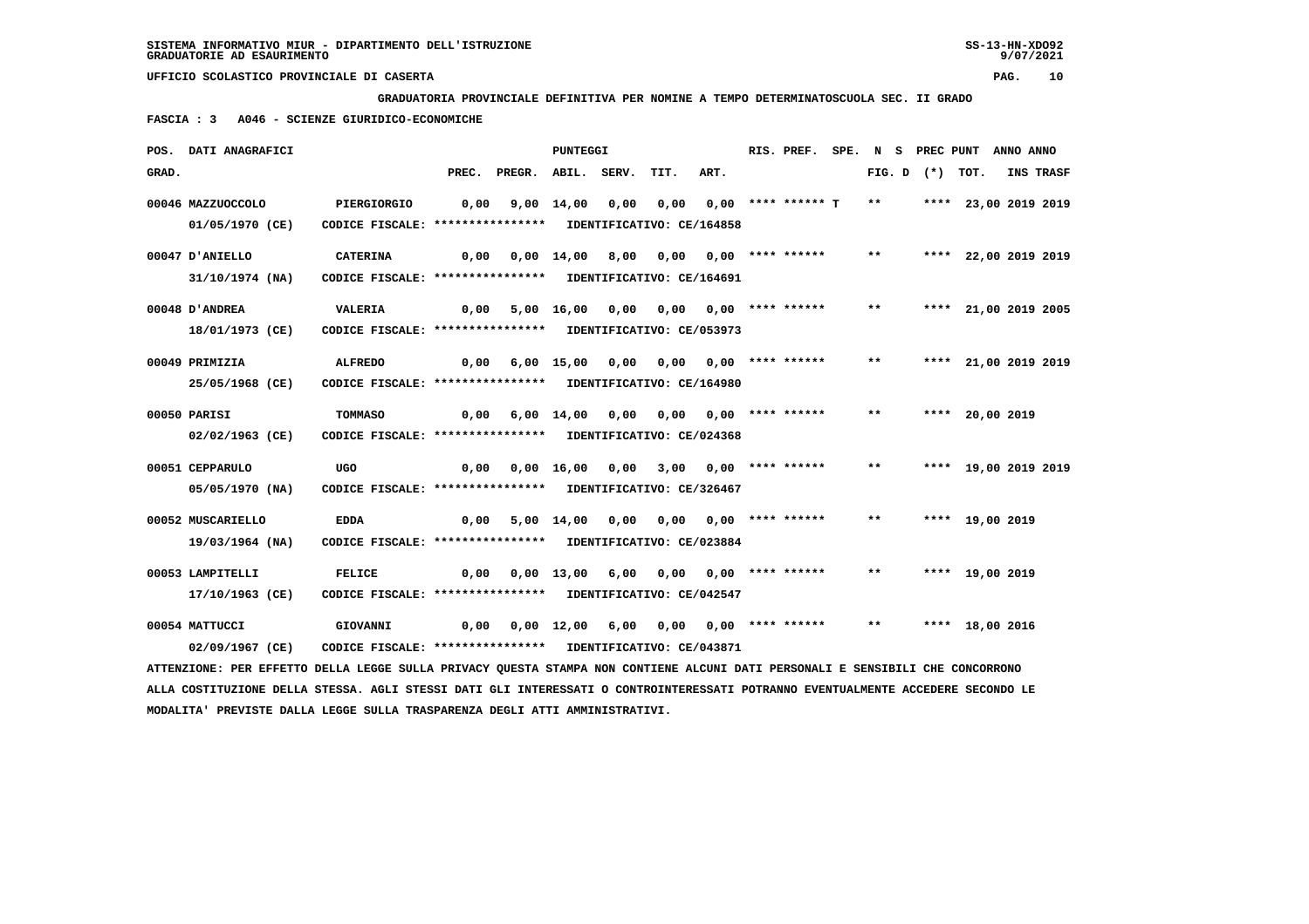**MODALITA' PREVISTE DALLA LEGGE SULLA TRASPARENZA DEGLI ATTI AMMINISTRATIVI.**

 **UFFICIO SCOLASTICO PROVINCIALE DI CASERTA PAG. 10**

 **GRADUATORIA PROVINCIALE DEFINITIVA PER NOMINE A TEMPO DETERMINATOSCUOLA SEC. II GRADO**

 **FASCIA : 3 A046 - SCIENZE GIURIDICO-ECONOMICHE**

|       | POS. DATI ANAGRAFICI                                                                                                            |                                                                              |       |                                              | PUNTEGGI        |      |                                         |                                 | RIS. PREF. |       | SPE. N S PREC PUNT |                      | ANNO ANNO |           |
|-------|---------------------------------------------------------------------------------------------------------------------------------|------------------------------------------------------------------------------|-------|----------------------------------------------|-----------------|------|-----------------------------------------|---------------------------------|------------|-------|--------------------|----------------------|-----------|-----------|
| GRAD. |                                                                                                                                 |                                                                              | PREC. | PREGR. ABIL. SERV.                           |                 |      | TIT.                                    | ART.                            |            |       | FIG. D $(*)$ TOT.  |                      |           | INS TRASF |
|       | 00046 MAZZUOCCOLO<br>01/05/1970 (CE)                                                                                            | PIERGIORGIO<br>CODICE FISCALE: **************** IDENTIFICATIVO: CE/164858    | 0,00  |                                              | 9,00 14,00      | 0,00 |                                         | 0,00 0,00 **** ****** T         |            | $***$ |                    | **** 23,00 2019 2019 |           |           |
|       | 00047 D'ANIELLO                                                                                                                 | <b>CATERINA</b>                                                              | 0,00  |                                              | 0,00 14,00 8,00 |      | 0,00 0,00 **** ******                   |                                 |            | $***$ |                    | **** 22,00 2019 2019 |           |           |
|       | 31/10/1974 (NA)<br>00048 D'ANDREA                                                                                               | CODICE FISCALE: **************** IDENTIFICATIVO: CE/164691<br>VALERIA        |       | $0,00$ 5,00 16,00 0,00 0,00 0,00 **** ****** |                 |      |                                         |                                 |            | $**$  |                    | **** 21,00 2019 2005 |           |           |
|       | 18/01/1973 (CE)<br>00049 PRIMIZIA                                                                                               | CODICE FISCALE: **************** IDENTIFICATIVO: CE/053973<br><b>ALFREDO</b> | 0,00  |                                              | 6,00 15,00      | 0,00 |                                         | $0,00$ $0,00$ $***$ **** ****** |            | $***$ |                    | **** 21,00 2019 2019 |           |           |
|       | 25/05/1968 (CE)<br>00050 PARISI                                                                                                 | CODICE FISCALE: **************** IDENTIFICATIVO: CE/164980<br><b>TOMMASO</b> |       |                                              |                 |      |                                         |                                 |            | $* *$ |                    | **** 20,00 2019      |           |           |
|       | 02/02/1963 (CE)                                                                                                                 | CODICE FISCALE: **************** IDENTIFICATIVO: CE/024368                   |       | $0,00$ $6,00$ $14,00$ $0,00$                 |                 |      | 0,00 0,00 **** ******                   |                                 |            |       |                    |                      |           |           |
|       | 00051 CEPPARULO<br>05/05/1970 (NA)                                                                                              | UGO<br>CODICE FISCALE: **************** IDENTIFICATIVO: CE/326467            | 0,00  |                                              | 0,00 16,00      | 0,00 |                                         | $3,00$ $0,00$ **** ******       |            | $***$ |                    | **** 19,00 2019 2019 |           |           |
|       | 00052 MUSCARIELLO<br>19/03/1964 (NA)                                                                                            | <b>EDDA</b><br>CODICE FISCALE: **************** IDENTIFICATIVO: CE/023884    |       | 0,00 5,00 14,00                              |                 | 0,00 | 0,00 0,00 **** ******                   |                                 |            | $* *$ |                    | **** 19,00 2019      |           |           |
|       | 00053 LAMPITELLI<br>17/10/1963 (CE)                                                                                             | <b>FELICE</b><br>CODICE FISCALE: **************** IDENTIFICATIVO: CE/042547  | 0.00  |                                              |                 |      | $0,00$ 13,00 6,00 0,00 0,00 **** ****** |                                 |            | $***$ |                    | **** 19,00 2019      |           |           |
|       | 00054 MATTUCCI<br>02/09/1967 (CE)                                                                                               | GIOVANNI<br>CODICE FISCALE: **************** IDENTIFICATIVO: CE/043871       | 0,00  |                                              | 0,00 12,00      | 6,00 | 0,00 0,00 **** ******                   |                                 |            | $***$ |                    | **** 18,00 2016      |           |           |
|       | ATTENZIONE: PER EFFETTO DELLA LEGGE SULLA PRIVACY QUESTA STAMPA NON CONTIENE ALCUNI DATI PERSONALI E SENSIBILI CHE CONCORRONO   |                                                                              |       |                                              |                 |      |                                         |                                 |            |       |                    |                      |           |           |
|       | ALLA COSTITUZIONE DELLA STESSA. AGLI STESSI DATI GLI INTERESSATI O CONTROINTERESSATI POTRANNO EVENTUALMENTE ACCEDERE SECONDO LE |                                                                              |       |                                              |                 |      |                                         |                                 |            |       |                    |                      |           |           |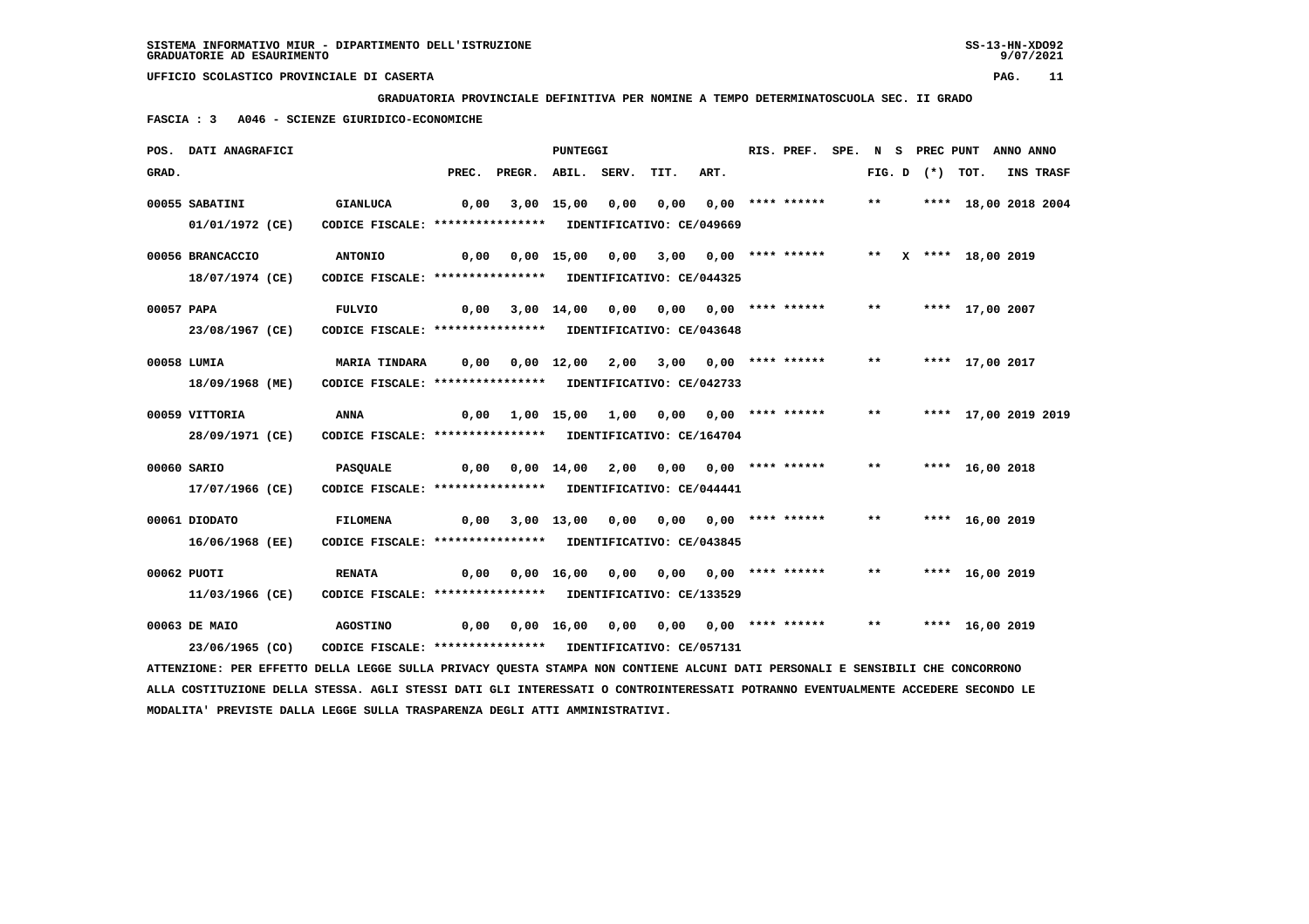**GRADUATORIA PROVINCIALE DEFINITIVA PER NOMINE A TEMPO DETERMINATOSCUOLA SEC. II GRADO**

 **FASCIA : 3 A046 - SCIENZE GIURIDICO-ECONOMICHE**

|            | POS. DATI ANAGRAFICI                                                                                                          |                                                            |      |                                                               | <b>PUNTEGGI</b> |                                                                   |      | RIS. PREF. SPE. N S PREC PUNT ANNO ANNO |       |  |                         |           |
|------------|-------------------------------------------------------------------------------------------------------------------------------|------------------------------------------------------------|------|---------------------------------------------------------------|-----------------|-------------------------------------------------------------------|------|-----------------------------------------|-------|--|-------------------------|-----------|
| GRAD.      |                                                                                                                               |                                                            |      | PREC. PREGR. ABIL. SERV.                                      |                 | TIT.                                                              | ART. |                                         |       |  | FIG. D $(*)$ TOT.       | INS TRASF |
|            | 00055 SABATINI                                                                                                                | <b>GIANLUCA</b>                                            | 0,00 |                                                               |                 | 3,00 15,00 0,00 0,00 0,00 **** ******                             |      |                                         |       |  | ** **** 18,00 2018 2004 |           |
|            | 01/01/1972 (CE)                                                                                                               | CODICE FISCALE: **************** IDENTIFICATIVO: CE/049669 |      |                                                               |                 |                                                                   |      |                                         |       |  |                         |           |
|            | 00056 BRANCACCIO                                                                                                              | <b>ANTONIO</b>                                             |      |                                                               |                 |                                                                   |      |                                         |       |  |                         |           |
|            | 18/07/1974 (CE)                                                                                                               | CODICE FISCALE: **************** IDENTIFICATIVO: CE/044325 |      |                                                               |                 |                                                                   |      |                                         |       |  |                         |           |
| 00057 PAPA |                                                                                                                               | <b>FULVIO</b>                                              | 0,00 |                                                               |                 | 3,00 14,00 0,00 0,00 0,00 **** ******                             |      |                                         | $***$ |  | **** 17,00 2007         |           |
|            | 23/08/1967 (CE)                                                                                                               | CODICE FISCALE: **************** IDENTIFICATIVO: CE/043648 |      |                                                               |                 |                                                                   |      |                                         |       |  |                         |           |
|            | 00058 LUMIA                                                                                                                   | <b>MARIA TINDARA</b>                                       |      |                                                               |                 |                                                                   |      |                                         |       |  |                         |           |
|            | 18/09/1968 (ME)                                                                                                               | CODICE FISCALE: **************** IDENTIFICATIVO: CE/042733 |      |                                                               |                 |                                                                   |      |                                         |       |  |                         |           |
|            | 00059 VITTORIA                                                                                                                | ANNA                                                       | 0,00 |                                                               |                 | 1,00 15,00 1,00 0,00 0,00 **** ****** ** *** **** 17,00 2019 2019 |      |                                         |       |  |                         |           |
|            | 28/09/1971 (CE)                                                                                                               | CODICE FISCALE: **************** IDENTIFICATIVO: CE/164704 |      |                                                               |                 |                                                                   |      |                                         |       |  |                         |           |
|            | 00060 SARIO                                                                                                                   | PASQUALE                                                   |      |                                                               |                 |                                                                   |      |                                         | $***$ |  | **** 16,00 2018         |           |
|            | 17/07/1966 (CE)                                                                                                               | CODICE FISCALE: **************** IDENTIFICATIVO: CE/044441 |      |                                                               |                 |                                                                   |      |                                         |       |  |                         |           |
|            | 00061 DIODATO                                                                                                                 | <b>FILOMENA</b>                                            |      | 0,00 3,00 13,00 0,00 0,00 0,00 **** ******                    |                 |                                                                   |      |                                         | $***$ |  | **** 16,00 2019         |           |
|            | 16/06/1968 (EE)                                                                                                               | CODICE FISCALE: **************** IDENTIFICATIVO: CE/043845 |      |                                                               |                 |                                                                   |      |                                         |       |  |                         |           |
|            | 00062 PUOTI                                                                                                                   | <b>RENATA</b>                                              | 0,00 |                                                               |                 | 0,00 16,00 0,00 0,00 0,00 **** ******                             |      |                                         |       |  | ** **** 16,00 2019      |           |
|            | 11/03/1966 (CE)                                                                                                               | CODICE FISCALE: **************** IDENTIFICATIVO: CE/133529 |      |                                                               |                 |                                                                   |      |                                         |       |  |                         |           |
|            | 00063 DE MAIO                                                                                                                 | <b>AGOSTINO</b>                                            |      | 0,00 0,00 16,00 0,00 0,00 0,00 **** ****** ** **** 16,00 2019 |                 |                                                                   |      |                                         |       |  |                         |           |
|            | 23/06/1965 (CO)                                                                                                               | CODICE FISCALE: **************** IDENTIFICATIVO: CE/057131 |      |                                                               |                 |                                                                   |      |                                         |       |  |                         |           |
|            | ATTENZIONE: PER EFFETTO DELLA LEGGE SULLA PRIVACY QUESTA STAMPA NON CONTIENE ALCUNI DATI PERSONALI E SENSIBILI CHE CONCORRONO |                                                            |      |                                                               |                 |                                                                   |      |                                         |       |  |                         |           |

 **ALLA COSTITUZIONE DELLA STESSA. AGLI STESSI DATI GLI INTERESSATI O CONTROINTERESSATI POTRANNO EVENTUALMENTE ACCEDERE SECONDO LE MODALITA' PREVISTE DALLA LEGGE SULLA TRASPARENZA DEGLI ATTI AMMINISTRATIVI.**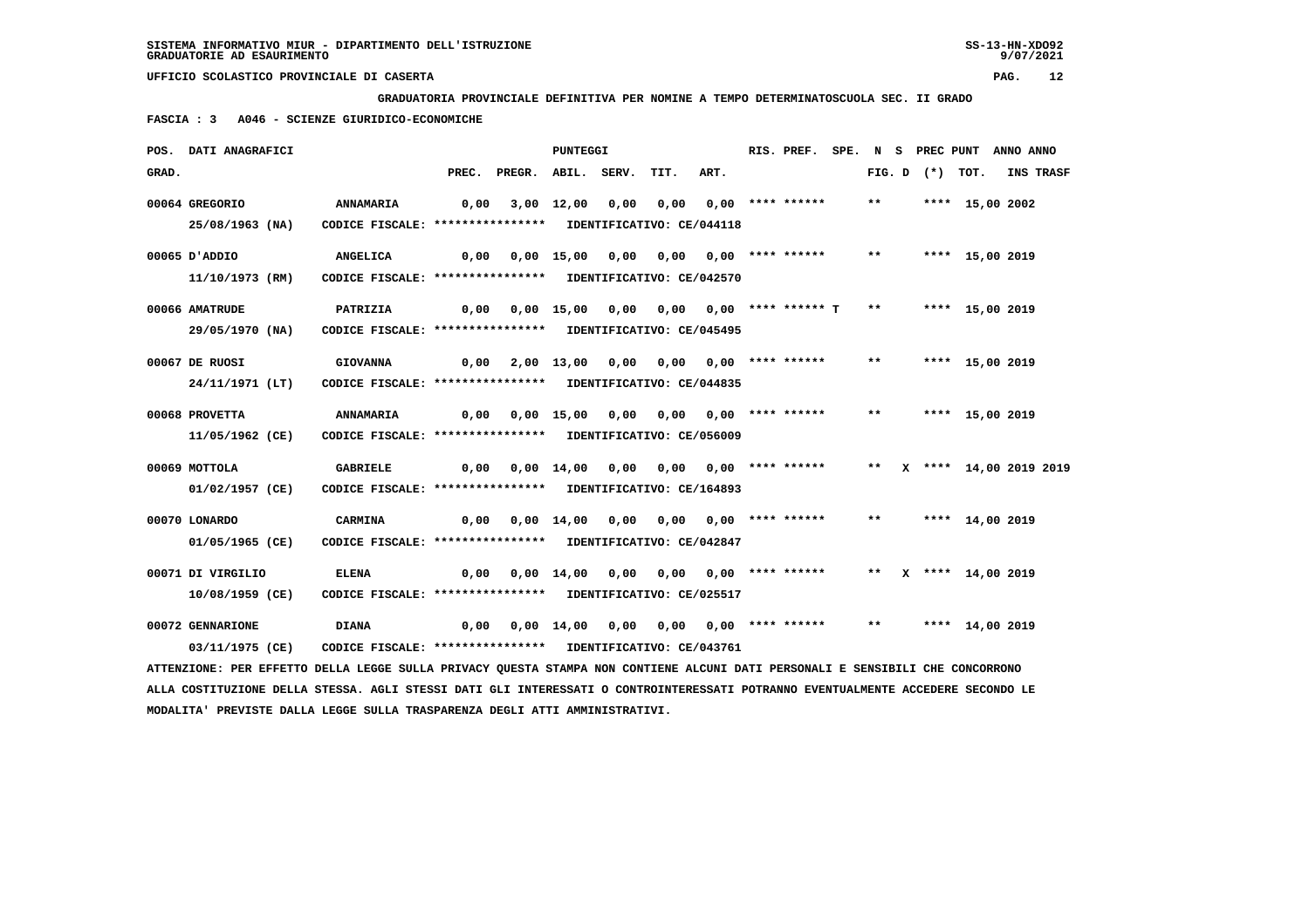**GRADUATORIA PROVINCIALE DEFINITIVA PER NOMINE A TEMPO DETERMINATOSCUOLA SEC. II GRADO**

 **FASCIA : 3 A046 - SCIENZE GIURIDICO-ECONOMICHE**

|       | POS. DATI ANAGRAFICI                                                                                                          |                                                            |      |                                                                  | <b>PUNTEGGI</b> |                                       |                           | RIS. PREF. SPE. N S PREC PUNT ANNO ANNO |       |  |                           |                  |  |
|-------|-------------------------------------------------------------------------------------------------------------------------------|------------------------------------------------------------|------|------------------------------------------------------------------|-----------------|---------------------------------------|---------------------------|-----------------------------------------|-------|--|---------------------------|------------------|--|
| GRAD. |                                                                                                                               |                                                            |      | PREC. PREGR. ABIL. SERV.                                         |                 | TIT.                                  | ART.                      |                                         |       |  | FIG. D $(*)$ TOT.         | <b>INS TRASF</b> |  |
|       | 00064 GREGORIO                                                                                                                | <b>ANNAMARIA</b>                                           | 0,00 |                                                                  |                 | 3,00 12,00 0,00 0,00 0,00 **** ****** |                           |                                         | $***$ |  | **** 15,00 2002           |                  |  |
|       | 25/08/1963 (NA)                                                                                                               | CODICE FISCALE: **************** IDENTIFICATIVO: CE/044118 |      |                                                                  |                 |                                       |                           |                                         |       |  |                           |                  |  |
|       | 00065 D'ADDIO                                                                                                                 | <b>ANGELICA</b>                                            | 0,00 |                                                                  | 0,00 15,00 0,00 |                                       |                           |                                         | $***$ |  | **** 15,00 2019           |                  |  |
|       | 11/10/1973 (RM)                                                                                                               | CODICE FISCALE: **************** IDENTIFICATIVO: CE/042570 |      |                                                                  |                 |                                       |                           |                                         |       |  |                           |                  |  |
|       | 00066 AMATRUDE                                                                                                                | PATRIZIA                                                   |      | $0,00$ $0,00$ $15,00$ $0,00$ $0,00$ $0,00$ $***$ *** ****** T ** |                 |                                       |                           |                                         |       |  | **** 15,00 2019           |                  |  |
|       | 29/05/1970 (NA)                                                                                                               | CODICE FISCALE: **************** IDENTIFICATIVO: CE/045495 |      |                                                                  |                 |                                       |                           |                                         |       |  |                           |                  |  |
|       | 00067 DE RUOSI                                                                                                                | <b>GIOVANNA</b>                                            |      | $0,00$ $2,00$ $13,00$ $0,00$ $0,00$ $0,00$ $***$ **** ***** **   |                 |                                       |                           |                                         |       |  | **** 15,00 2019           |                  |  |
|       | 24/11/1971 (LT)                                                                                                               | CODICE FISCALE: **************** IDENTIFICATIVO: CE/044835 |      |                                                                  |                 |                                       |                           |                                         |       |  |                           |                  |  |
|       | 00068 PROVETTA                                                                                                                | <b>ANNAMARIA</b>                                           | 0,00 |                                                                  |                 | 0,00 15,00 0,00 0,00 0,00 **** ****** |                           |                                         | $***$ |  | **** 15,00 2019           |                  |  |
|       | 11/05/1962 (CE)                                                                                                               | CODICE FISCALE: **************** IDENTIFICATIVO: CE/056009 |      |                                                                  |                 |                                       |                           |                                         |       |  |                           |                  |  |
|       | 00069 MOTTOLA                                                                                                                 | <b>GABRIELE</b>                                            |      | 0,00  0,00  14,00  0,00  0,00  0,00  ****  ******                |                 |                                       |                           |                                         |       |  | ** X **** 14,00 2019 2019 |                  |  |
|       | 01/02/1957 (CE)                                                                                                               | CODICE FISCALE: **************** IDENTIFICATIVO: CE/164893 |      |                                                                  |                 |                                       |                           |                                         |       |  |                           |                  |  |
|       | 00070 LONARDO                                                                                                                 | <b>CARMINA</b>                                             |      |                                                                  |                 |                                       |                           |                                         |       |  | ** **** 14,00 2019        |                  |  |
|       | 01/05/1965 (CE)                                                                                                               | CODICE FISCALE: **************** IDENTIFICATIVO: CE/042847 |      |                                                                  |                 |                                       |                           |                                         |       |  |                           |                  |  |
|       | 00071 DI VIRGILIO                                                                                                             | <b>ELENA</b>                                               | 0,00 |                                                                  | 0,00 14,00 0,00 |                                       | $0,00$ $0,00$ **** ****** |                                         |       |  | ** $X$ **** 14,00 2019    |                  |  |
|       | $10/08/1959$ (CE)                                                                                                             | CODICE FISCALE: **************** IDENTIFICATIVO: CE/025517 |      |                                                                  |                 |                                       |                           |                                         |       |  |                           |                  |  |
|       | 00072 GENNARIONE                                                                                                              | <b>DIANA</b>                                               |      | $0,00$ $0,00$ $14,00$ $0,00$ $0,00$ $0,00$ $***$ **** ****** **  |                 |                                       |                           |                                         |       |  | **** 14,00 2019           |                  |  |
|       | 03/11/1975 (CE)                                                                                                               | CODICE FISCALE: **************** IDENTIFICATIVO: CE/043761 |      |                                                                  |                 |                                       |                           |                                         |       |  |                           |                  |  |
|       | ATTENZIONE: PER EFFETTO DELLA LEGGE SULLA PRIVACY QUESTA STAMPA NON CONTIENE ALCUNI DATI PERSONALI E SENSIBILI CHE CONCORRONO |                                                            |      |                                                                  |                 |                                       |                           |                                         |       |  |                           |                  |  |

 **ALLA COSTITUZIONE DELLA STESSA. AGLI STESSI DATI GLI INTERESSATI O CONTROINTERESSATI POTRANNO EVENTUALMENTE ACCEDERE SECONDO LE MODALITA' PREVISTE DALLA LEGGE SULLA TRASPARENZA DEGLI ATTI AMMINISTRATIVI.**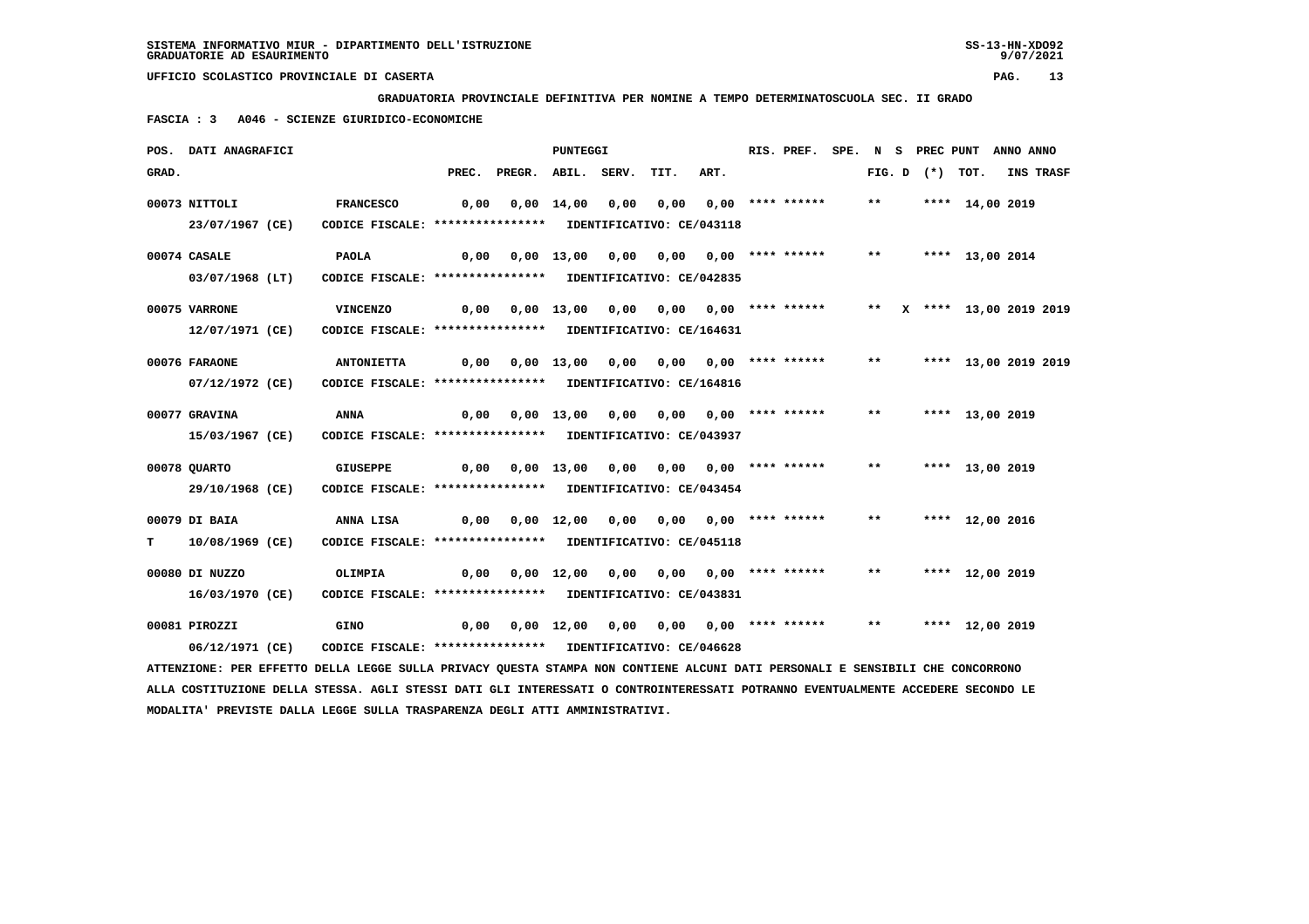**GRADUATORIA PROVINCIALE DEFINITIVA PER NOMINE A TEMPO DETERMINATOSCUOLA SEC. II GRADO**

 **FASCIA : 3 A046 - SCIENZE GIURIDICO-ECONOMICHE**

|       | POS. DATI ANAGRAFICI                                                                                                          |                                                            |                                                                           |                          | PUNTEGGI |      |      | RIS. PREF. SPE. N S PREC PUNT ANNO ANNO |  |  |                    |                  |  |
|-------|-------------------------------------------------------------------------------------------------------------------------------|------------------------------------------------------------|---------------------------------------------------------------------------|--------------------------|----------|------|------|-----------------------------------------|--|--|--------------------|------------------|--|
| GRAD. |                                                                                                                               |                                                            |                                                                           | PREC. PREGR. ABIL. SERV. |          | TIT. | ART. |                                         |  |  | FIG. D $(*)$ TOT.  | <b>INS TRASF</b> |  |
|       | 00073 NITTOLI                                                                                                                 | <b>FRANCESCO</b>                                           | 0,00                                                                      |                          |          |      |      |                                         |  |  |                    |                  |  |
|       | 23/07/1967 (CE)                                                                                                               | CODICE FISCALE: **************** IDENTIFICATIVO: CE/043118 |                                                                           |                          |          |      |      |                                         |  |  |                    |                  |  |
|       | 00074 CASALE                                                                                                                  | <b>PAOLA</b>                                               | 0,00 0,00 13,00 0,00 0,00 0,00 **** ****** ** **** 13,00 2014             |                          |          |      |      |                                         |  |  |                    |                  |  |
|       | 03/07/1968 (LT)                                                                                                               | CODICE FISCALE: **************** IDENTIFICATIVO: CE/042835 |                                                                           |                          |          |      |      |                                         |  |  |                    |                  |  |
|       | 00075 VARRONE                                                                                                                 | <b>VINCENZO</b>                                            |                                                                           |                          |          |      |      |                                         |  |  |                    |                  |  |
|       | 12/07/1971 (CE)                                                                                                               | CODICE FISCALE: **************** IDENTIFICATIVO: CE/164631 |                                                                           |                          |          |      |      |                                         |  |  |                    |                  |  |
|       | 00076 FARAONE                                                                                                                 | <b>ANTONIETTA</b>                                          |                                                                           |                          |          |      |      |                                         |  |  |                    |                  |  |
|       | 07/12/1972 (CE)                                                                                                               | CODICE FISCALE: **************** IDENTIFICATIVO: CE/164816 |                                                                           |                          |          |      |      |                                         |  |  |                    |                  |  |
|       | 00077 GRAVINA                                                                                                                 | ANNA                                                       | 0,00  0,00  13,00  0,00  0,00  0,00  ****  ******  ***  ****  13,00  2019 |                          |          |      |      |                                         |  |  |                    |                  |  |
|       | 15/03/1967 (CE)                                                                                                               | CODICE FISCALE: **************** IDENTIFICATIVO: CE/043937 |                                                                           |                          |          |      |      |                                         |  |  |                    |                  |  |
|       | 00078 QUARTO                                                                                                                  | <b>GIUSEPPE</b>                                            |                                                                           |                          |          |      |      |                                         |  |  | ** **** 13,00 2019 |                  |  |
|       | 29/10/1968 (CE)                                                                                                               | CODICE FISCALE: **************** IDENTIFICATIVO: CE/043454 |                                                                           |                          |          |      |      |                                         |  |  |                    |                  |  |
|       | 00079 DI BAIA                                                                                                                 | ANNA LISA                                                  |                                                                           |                          |          |      |      |                                         |  |  | ** **** 12,00 2016 |                  |  |
| T.    | 10/08/1969 (CE)                                                                                                               | CODICE FISCALE: **************** IDENTIFICATIVO: CE/045118 |                                                                           |                          |          |      |      |                                         |  |  |                    |                  |  |
|       | 00080 DI NUZZO                                                                                                                | OLIMPIA                                                    |                                                                           |                          |          |      |      |                                         |  |  |                    |                  |  |
|       | 16/03/1970 (CE)                                                                                                               | CODICE FISCALE: **************** IDENTIFICATIVO: CE/043831 |                                                                           |                          |          |      |      |                                         |  |  |                    |                  |  |
|       | 00081 PIROZZI                                                                                                                 | GINO                                                       |                                                                           |                          |          |      |      |                                         |  |  |                    |                  |  |
|       | 06/12/1971 (CE)                                                                                                               | CODICE FISCALE: **************** IDENTIFICATIVO: CE/046628 |                                                                           |                          |          |      |      |                                         |  |  |                    |                  |  |
|       | ATTENZIONE: PER EFFETTO DELLA LEGGE SULLA PRIVACY QUESTA STAMPA NON CONTIENE ALCUNI DATI PERSONALI E SENSIBILI CHE CONCORRONO |                                                            |                                                                           |                          |          |      |      |                                         |  |  |                    |                  |  |

 **ALLA COSTITUZIONE DELLA STESSA. AGLI STESSI DATI GLI INTERESSATI O CONTROINTERESSATI POTRANNO EVENTUALMENTE ACCEDERE SECONDO LE MODALITA' PREVISTE DALLA LEGGE SULLA TRASPARENZA DEGLI ATTI AMMINISTRATIVI.**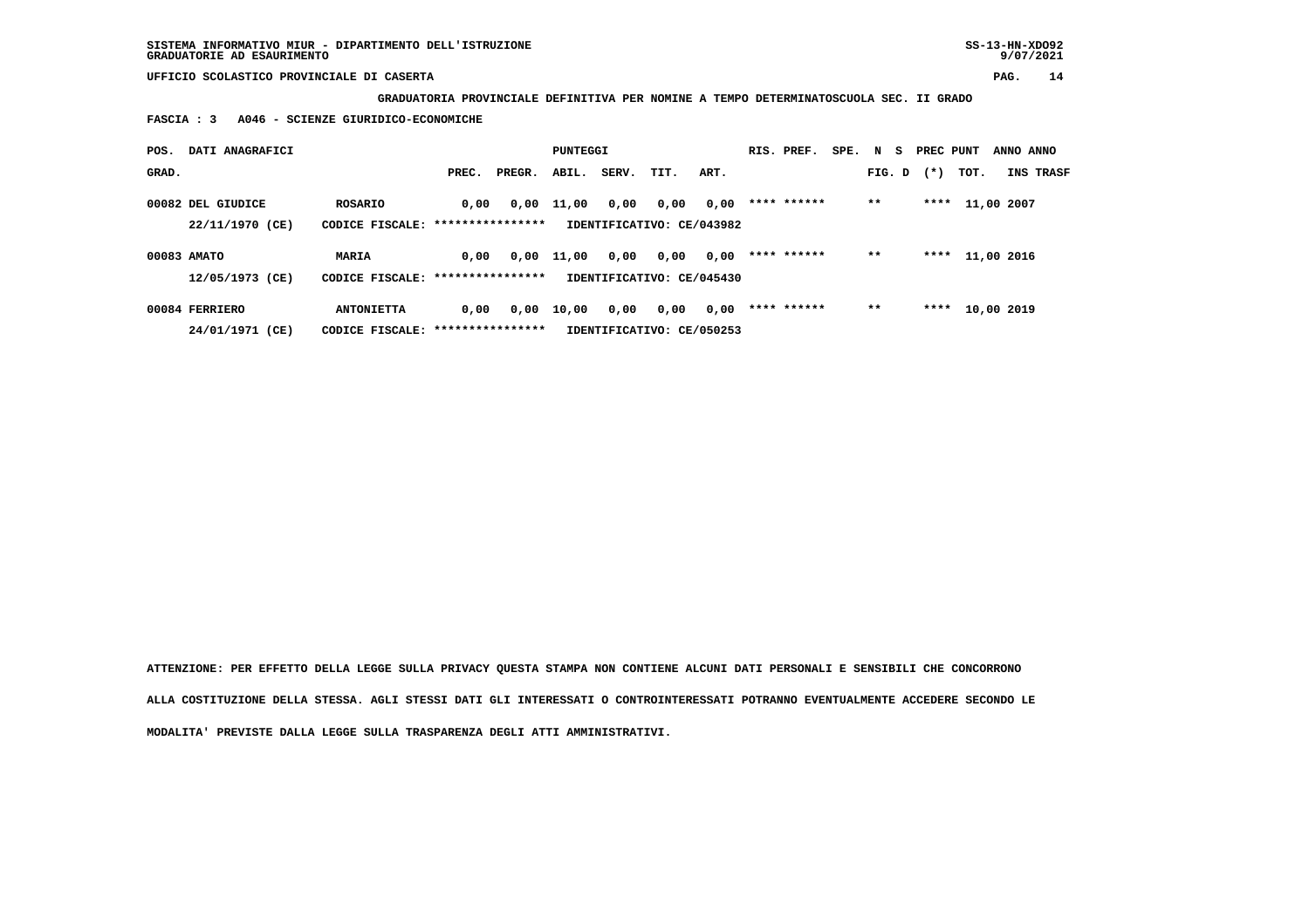**GRADUATORIA PROVINCIALE DEFINITIVA PER NOMINE A TEMPO DETERMINATOSCUOLA SEC. II GRADO**

 **FASCIA : 3 A046 - SCIENZE GIURIDICO-ECONOMICHE**

| POS.  | DATI ANAGRAFICI   |                                   |       |        | PUNTEGGI     |       |                           |      | RIS. PREF.  | SPE. N S |        | PREC PUNT |      | ANNO ANNO  |
|-------|-------------------|-----------------------------------|-------|--------|--------------|-------|---------------------------|------|-------------|----------|--------|-----------|------|------------|
| GRAD. |                   |                                   | PREC. | PREGR. | ABIL.        | SERV. | TIT.                      | ART. |             |          | FIG. D | $(*)$     | TOT. | INS TRASF  |
|       | 00082 DEL GIUDICE | ROSARIO                           | 0.00  |        | $0,00$ 11,00 | 0,00  | 0,00                      | 0,00 | **** ****** |          | $***$  | ****      |      | 11,00 2007 |
|       | 22/11/1970 (CE)   | CODICE FISCALE: ***************** |       |        |              |       | IDENTIFICATIVO: CE/043982 |      |             |          |        |           |      |            |
|       | 00083 AMATO       | MARIA                             | 0.00  | 0,00   | 11,00        | 0,00  | 0,00                      | 0,00 | **** ****** |          | $* *$  | ****      |      | 11,00 2016 |
|       | 12/05/1973 (CE)   | CODICE FISCALE: ***************** |       |        |              |       | IDENTIFICATIVO: CE/045430 |      |             |          |        |           |      |            |
|       | 00084 FERRIERO    | <b>ANTONIETTA</b>                 | 0,00  | 0,00   | 10,00        | 0,00  | 0,00                      | 0,00 | **** ****** |          | $* *$  | ****      |      | 10,00 2019 |
|       | 24/01/1971 (CE)   | CODICE FISCALE: ***************** |       |        |              |       | IDENTIFICATIVO: CE/050253 |      |             |          |        |           |      |            |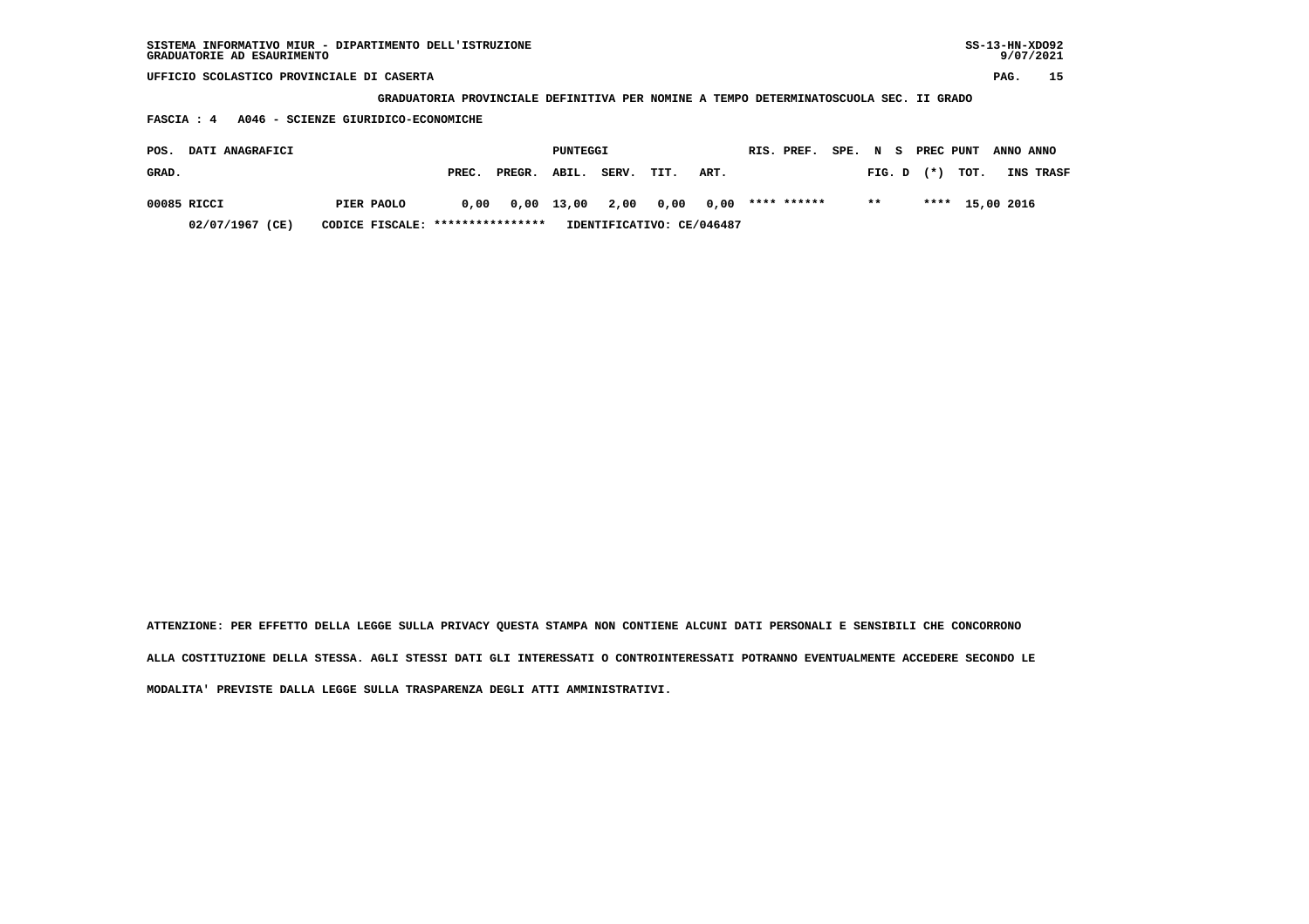| $SS-13-HN-XDO92$<br>SISTEMA INFORMATIVO MIUR - DIPARTIMENTO DELL'ISTRUZIONE<br>GRADUATORIE AD ESAURIMENTO |                                                                                       |       |        |              |       |      |      |  |             |        |        |    |        | 9/07/2021       |           |           |  |
|-----------------------------------------------------------------------------------------------------------|---------------------------------------------------------------------------------------|-------|--------|--------------|-------|------|------|--|-------------|--------|--------|----|--------|-----------------|-----------|-----------|--|
| UFFICIO SCOLASTICO PROVINCIALE DI CASERTA                                                                 |                                                                                       |       |        |              |       |      |      |  |             |        |        |    |        |                 | PAG.      | 15        |  |
|                                                                                                           | GRADUATORIA PROVINCIALE DEFINITIVA PER NOMINE A TEMPO DETERMINATOSCUOLA SEC. II GRADO |       |        |              |       |      |      |  |             |        |        |    |        |                 |           |           |  |
| A046 - SCIENZE GIURIDICO-ECONOMICHE<br>FASCIA: 4                                                          |                                                                                       |       |        |              |       |      |      |  |             |        |        |    |        |                 |           |           |  |
| DATI ANAGRAFICI<br>POS.                                                                                   |                                                                                       |       |        | PUNTEGGI     |       |      |      |  | RIS. PREF.  | SPE. N |        | S. |        | PREC PUNT       | ANNO ANNO |           |  |
| GRAD.                                                                                                     |                                                                                       | PREC. | PREGR. | ABIL.        | SERV. | TIT. | ART. |  |             |        | FIG. D |    | $(* )$ | тот.            |           | INS TRASF |  |
| 00085 RICCI                                                                                               | PIER PAOLO                                                                            | 0.00  |        | $0,00$ 13,00 | 2,00  | 0.00 | 0.00 |  | **** ****** |        | $**$   |    |        | **** 15,00 2016 |           |           |  |

 **02/07/1967 (CE) CODICE FISCALE: \*\*\*\*\*\*\*\*\*\*\*\*\*\*\*\* IDENTIFICATIVO: CE/046487**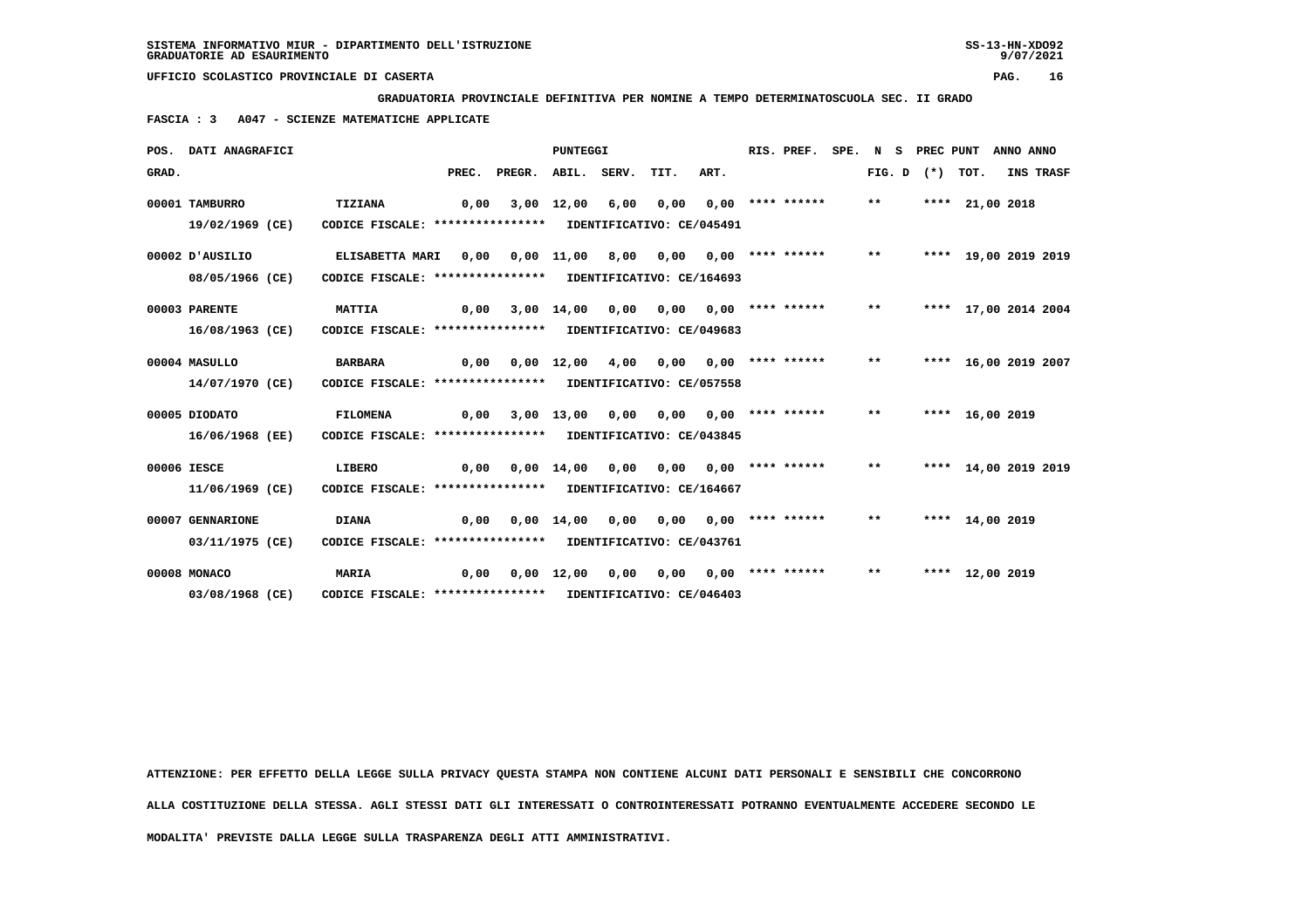**GRADUATORIA PROVINCIALE DEFINITIVA PER NOMINE A TEMPO DETERMINATOSCUOLA SEC. II GRADO**

 **FASCIA : 3 A047 - SCIENZE MATEMATICHE APPLICATE**

|       | POS. DATI ANAGRAFICI                |                                                                                      |       |        | <b>PUNTEGGI</b>               |      |                                       |      | RIS. PREF.                   | SPE. | N S    | PREC PUNT |                      | ANNO ANNO |           |
|-------|-------------------------------------|--------------------------------------------------------------------------------------|-------|--------|-------------------------------|------|---------------------------------------|------|------------------------------|------|--------|-----------|----------------------|-----------|-----------|
| GRAD. |                                     |                                                                                      | PREC. | PREGR. | ABIL. SERV.                   |      | TIT.                                  | ART. |                              |      | FIG. D |           | (*) TOT.             |           | INS TRASF |
|       | 00001 TAMBURRO<br>19/02/1969 (CE)   | <b>TIZIANA</b><br>CODICE FISCALE: **************** IDENTIFICATIVO: CE/045491         | 0.00  |        | 3,00 12,00                    | 6,00 | 0,00                                  |      | $0,00$ **** ******           |      | $***$  |           | **** 21,00 2018      |           |           |
|       | 00002 D'AUSILIO<br>08/05/1966 (CE)  | <b>ELISABETTA MARI</b><br>CODICE FISCALE: **************** IDENTIFICATIVO: CE/164693 | 0,00  |        | $0,00 \quad 11,00 \quad 8,00$ |      |                                       |      | $0,00$ $0,00$ **** ****** ** |      |        |           | **** 19,00 2019 2019 |           |           |
|       | 00003 PARENTE<br>16/08/1963 (CE)    | <b>MATTIA</b><br>CODICE FISCALE: **************** IDENTIFICATIVO: CE/049683          | 0,00  |        | $3,00$ $14,00$                | 0,00 | 0,00                                  |      | $0.00$ **** ******           |      | $***$  |           | **** 17,00 2014 2004 |           |           |
|       | 00004 MASULLO<br>14/07/1970 (CE)    | <b>BARBARA</b><br>CODICE FISCALE: **************** IDENTIFICATIVO: CE/057558         |       |        |                               |      |                                       |      |                              |      | $***$  |           | **** 16,00 2019 2007 |           |           |
|       | 00005 DIODATO<br>16/06/1968 (EE)    | <b>FILOMENA</b><br>CODICE FISCALE: **************** IDENTIFICATIVO: CE/043845        | 0.00  |        | 3,00 13,00 0,00               |      |                                       |      | $0,00$ $0,00$ **** ****** ** |      |        |           | **** 16,00 2019      |           |           |
|       | 00006 IESCE<br>11/06/1969 (CE)      | LIBERO<br>CODICE FISCALE: **************** IDENTIFICATIVO: CE/164667                 | 0.00  |        | $0,00$ 14,00                  | 0,00 | 0,00                                  |      | $0.00$ **** ******           |      | $***$  |           | **** 14,00 2019 2019 |           |           |
|       | 00007 GENNARIONE<br>03/11/1975 (CE) | <b>DIANA</b><br>CODICE FISCALE: **************** IDENTIFICATIVO: CE/043761           | 0,00  |        |                               |      | 0,00 14,00 0,00 0,00 0,00 **** ****** |      |                              |      | $***$  |           | **** 14,00 2019      |           |           |
|       | 00008 MONACO<br>03/08/1968 (CE)     | <b>MARIA</b><br>CODICE FISCALE: **************** IDENTIFICATIVO: CE/046403           | 0,00  |        | $0,00 \quad 12,00$            | 0,00 |                                       |      | 0,00 0,00 **** ******        |      | $* *$  |           | **** 12,00 2019      |           |           |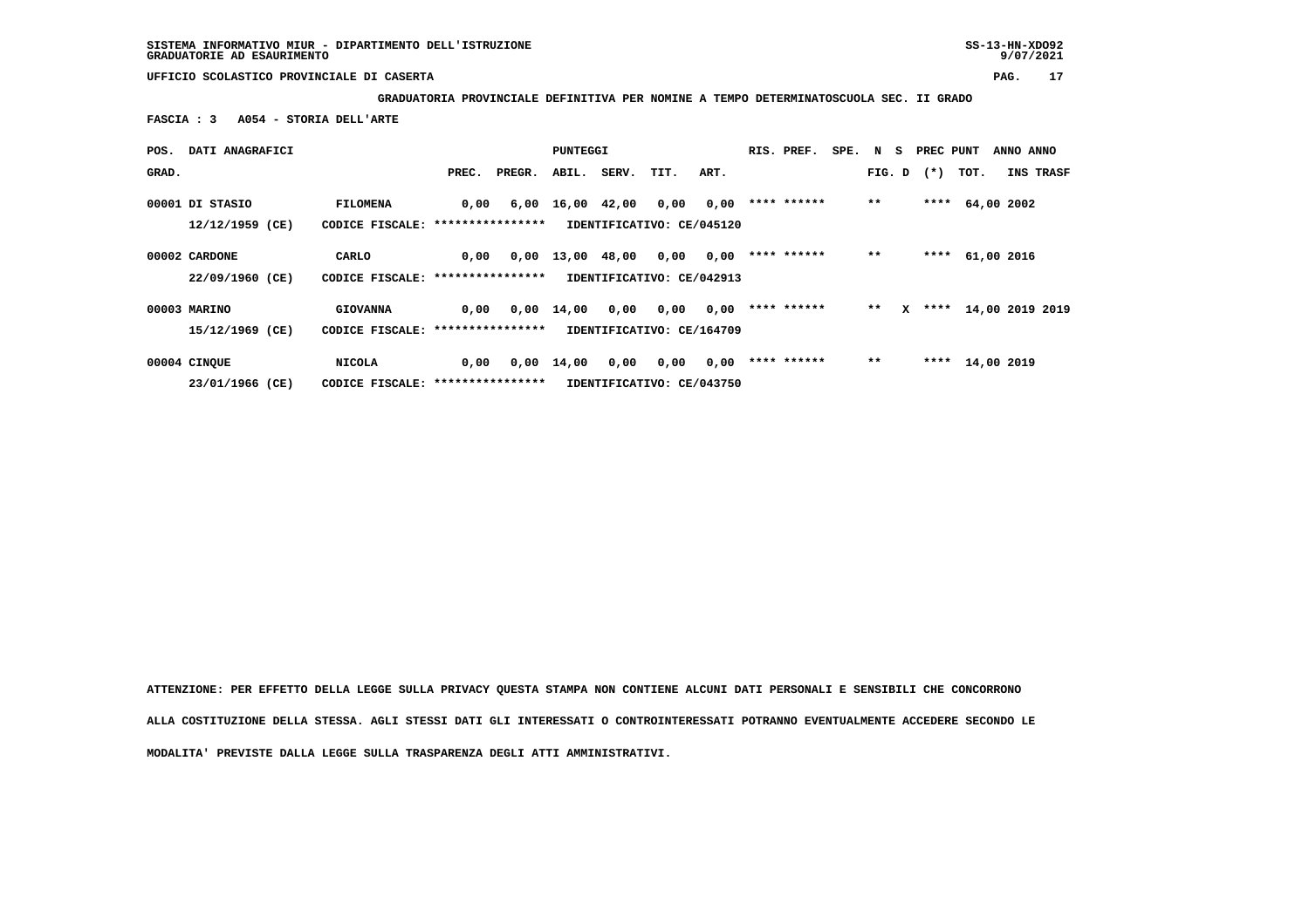**GRADUATORIA PROVINCIALE DEFINITIVA PER NOMINE A TEMPO DETERMINATOSCUOLA SEC. II GRADO**

 **FASCIA : 3 A054 - STORIA DELL'ARTE**

| POS.  | DATI ANAGRAFICI                      |                                                      |       |        | PUNTEGGI |       |                                   |      | RIS. PREF.  | SPE. N S |       |   | PREC PUNT      |      | ANNO ANNO        |  |
|-------|--------------------------------------|------------------------------------------------------|-------|--------|----------|-------|-----------------------------------|------|-------------|----------|-------|---|----------------|------|------------------|--|
| GRAD. |                                      |                                                      | PREC. | PREGR. | ABIL.    | SERV. | TIT.                              | ART. |             |          |       |   | $FIG. D$ $(*)$ | тот. | INS TRASF        |  |
|       | 00001 DI STASIO<br>$12/12/1959$ (CE) | <b>FILOMENA</b><br>CODICE FISCALE: ***************** | 0,00  | 6,00   | 16,00    | 42,00 | 0,00<br>IDENTIFICATIVO: CE/045120 | 0,00 | **** ****** |          | $**$  |   |                |      | **** $64.002002$ |  |
|       | 00002 CARDONE<br>22/09/1960 (CE)     | CARLO<br>CODICE FISCALE: *****************           | 0,00  | 0,00   | 13,00    | 48,00 | 0,00<br>IDENTIFICATIVO: CE/042913 | 0,00 | **** ****** |          | $***$ |   | ****           |      | 61,00 2016       |  |
|       | 00003 MARINO<br>15/12/1969 (CE)      | <b>GIOVANNA</b><br>CODICE FISCALE: ****************  | 0.00  | 0,00   | 14,00    | 0,00  | 0,00<br>IDENTIFICATIVO: CE/164709 | 0,00 | **** ****** |          | $* *$ | x | ****           |      | 14,00 2019 2019  |  |
|       | 00004 CINQUE<br>23/01/1966 (CE)      | <b>NICOLA</b><br>CODICE FISCALE: *****************   | 0,00  | 0,00   | 14,00    | 0,00  | 0,00<br>IDENTIFICATIVO: CE/043750 | 0,00 | **** ****** |          | $***$ |   | ****           |      | 14,00 2019       |  |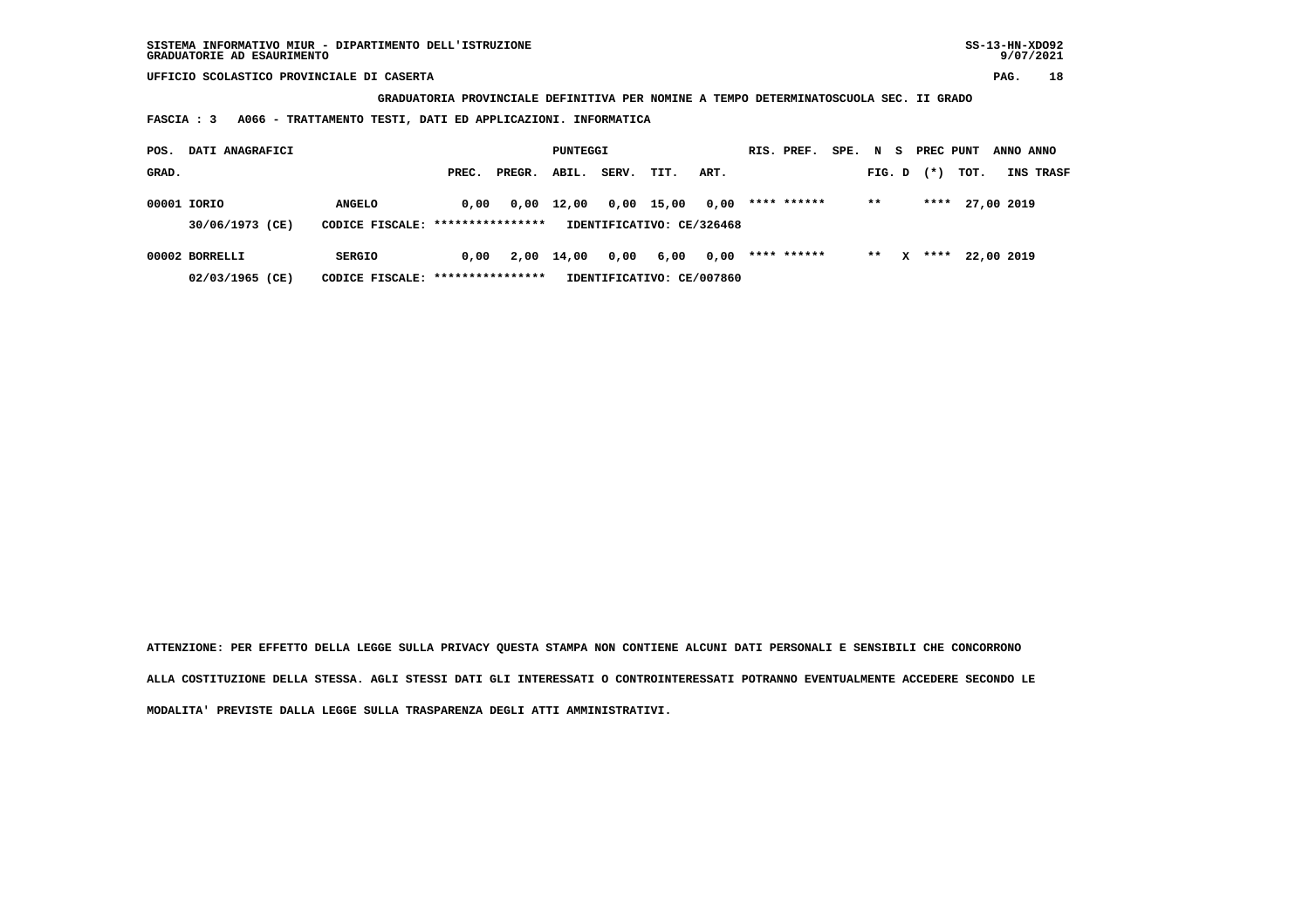**GRADUATORIA PROVINCIALE DEFINITIVA PER NOMINE A TEMPO DETERMINATOSCUOLA SEC. II GRADO**

 **FASCIA : 3 A066 - TRATTAMENTO TESTI, DATI ED APPLICAZIONI. INFORMATICA**

| POS.  | DATI ANAGRAFICI                   |                                                    |       |        | PUNTEGGI   |       |                                           |      | RIS. PREF.  | SPE. N S |        |   | PREC PUNT |      | ANNO ANNO  |           |
|-------|-----------------------------------|----------------------------------------------------|-------|--------|------------|-------|-------------------------------------------|------|-------------|----------|--------|---|-----------|------|------------|-----------|
| GRAD. |                                   |                                                    | PREC. | PREGR. | ABIL.      | SERV. | TIT.                                      | ART. |             |          | FIG. D |   | $(*)$     | тот. |            | INS TRASF |
|       | 00001 IORIO<br>30/06/1973 (CE)    | <b>ANGELO</b><br>CODICE FISCALE: ****************  | 0.00  | 0,00   | 12,00      |       | $0,00$ 15,00<br>IDENTIFICATIVO: CE/326468 | 0,00 | **** ****** |          | $* *$  |   | ****      |      | 27,00 2019 |           |
|       | 00002 BORRELLI<br>02/03/1965 (CE) | <b>SERGIO</b><br>CODICE FISCALE: ***************** | 0.00  |        | 2,00 14,00 | 0,00  | 6,00<br>IDENTIFICATIVO: CE/007860         | 0,00 | **** ****** |          | $***$  | x | ****      |      | 22,00 2019 |           |